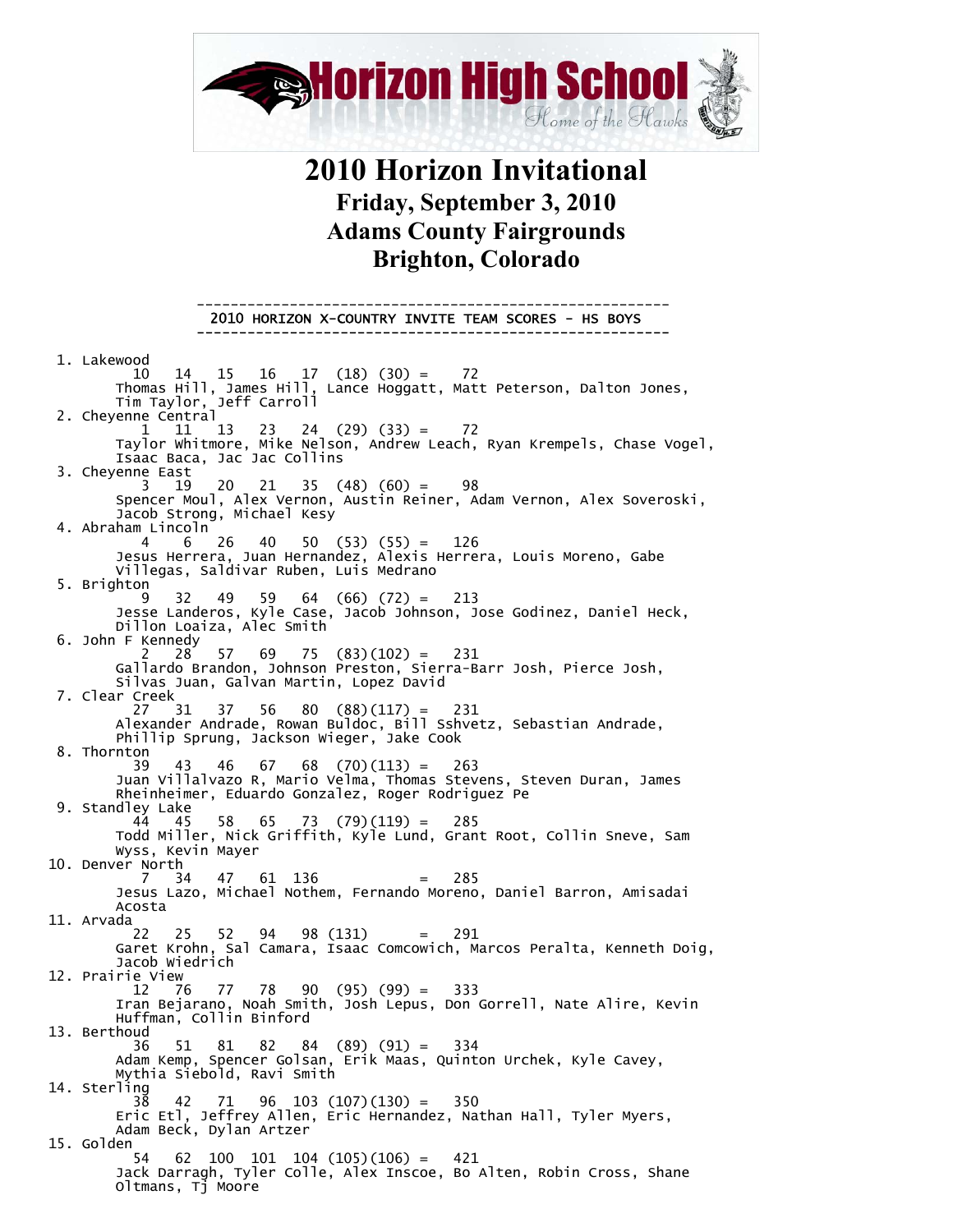

## **2010 Horizon Invitational Friday, September 3, 2010 Adams County Fairgrounds Brighton, Colorado**

 -------------------------------------------------------- 2010 HORIZON X-COUNTRY INVITE TEAM SCORES - HS BOYS

 1. Lakewood 10 14 15 16 17 (18) (30) = 72 Thomas Hill, James Hill, Lance Hoggatt, Matt Peterson, Dalton Jones, Tim Taylor, Jeff Carroll 2. Cheyenne Central 1 11 13 23 24 (29) (33) = 72 Taylor Whitmore, Mike Nelson, Andrew Leach, Ryan Krempels, Chase Vogel, Isaac Baca, Jac Jac Collins 3. Cheyenne East 3 19 20 21 35 (48) (60) = 98 Spencer Moul, Alex Vernon, Austin Reiner, Adam Vernon, Alex Soveroski, Jacob Strong, Michael Kesy 4. Abraham Lincoln 4 6 26 40 50 (53) (55) = 126 Jesus Herrera, Juan Hernandez, Alexis Herrera, Louis Moreno, Gabe Villegas, Saldivar Ruben, Luis Medrano 5. Brighton 9 32 49 59 64 (66) (72) = 213 Jesse Landeros, Kyle Case, Jacob Johnson, Jose Godinez, Daniel Heck, Dillon Loaiza, Alec Smith 6. John F Kennedy  $28$  57 69 75 (83)(102) = 231 Gallardo Brandon, Johnson Preston, Sierra-Barr Josh, Pierce Josh, Silvas Juan, Galvan Martin, Lopez David 7. Clear Creek 27 31 37 56 80 (88)(117) = 231 Alexander Andrade, Rowan Buldoc, Bill Sshvetz, Sebastian Andrade, Phillip Sprung, Jackson Wieger, Jake Cook 8. Thornton 39 43 46 67 68 (70)(113) = 263 Juan Villalvazo R, Mario Velma, Thomas Stevens, Steven Duran, James Rheinheimer, Eduardo Gonzalez, Roger Rodriguez Pe 9. Standley Lake 44 45 58 65 73 (79)(119) = 285 Todd Miller, Nick Griffith, Kyle Lund, Grant Root, Collin Sneve, Sam Wyss, Kevin Mayer 10. Denver North 7 34 47 61 136 = 285 Jesus Lazo, Michael Nothem, Fernando Moreno, Daniel Barron, Amisadai Acosta 11. Arvada<br>22 22 25 52 94 98 (131) = 291 Garet Krohn, Sal Camara, Isaac Comcowich, Marcos Peralta, Kenneth Doig, Jacob Wiedrich 12. Prairie View 12 76 77 78 90 (95) (99) = 333 Iran Bejarano, Noah Smith, Josh Lepus, Don Gorrell, Nate Alire, Kevin Huffman, Collin Binford 13. Berthoud 36 51 81 82 84 (89) (91) = 334 Adam Kemp, Spencer Golsan, Erik Maas, Quinton Urchek, Kyle Cavey, Mythia Siebold, Ravi Smith 14. Sterling 38 42 71 96 103 (107)(130) = 350 Eric Etl, Jeffrey Allen, Eric Hernandez, Nathan Hall, Tyler Myers, Adam Beck, Dylan Artzer 15. Golden 54 62 100 101 104 (105)(106) = 421 Jack Darragh, Tyler Colle, Alex Inscoe, Bo Alten, Robin Cross, Shane Oltmans, Tj Moore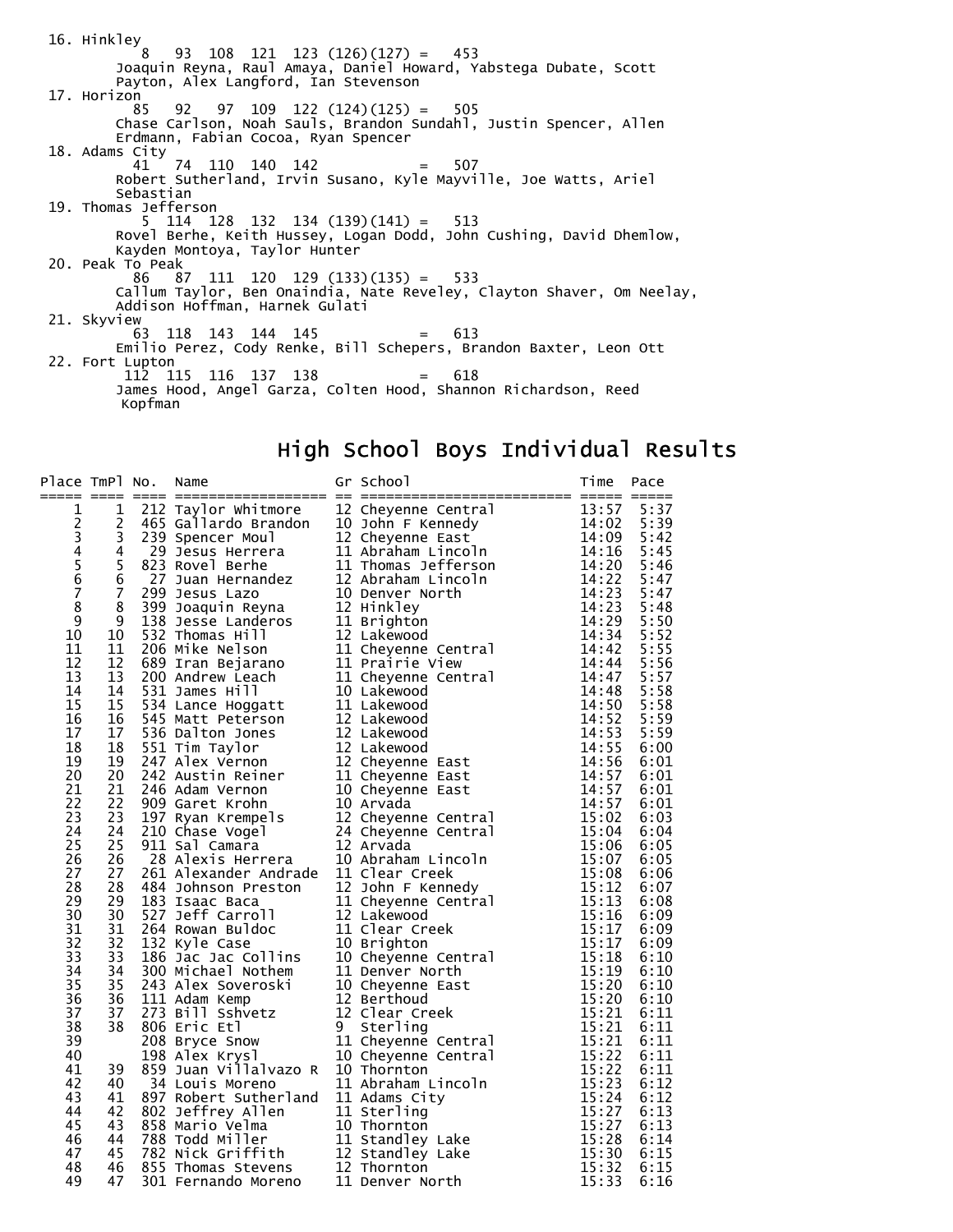16. Hinkley 8 93 108 121 123 (126)(127) = 453 Joaquin Reyna, Raul Amaya, Daniel Howard, Yabstega Dubate, Scott Payton, Alex Langford, Ian Stevenson 17. Horizon 85 92 97 109 122 (124)(125) = 505 Chase Carlson, Noah Sauls, Brandon Sundahl, Justin Spencer, Allen Erdmann, Fabian Cocoa, Ryan Spencer 18. Adams City 41 74 110 140 142 = 507 Robert Sutherland, Irvin Susano, Kyle Mayville, Joe Watts, Ariel Sebastian 19. Thomas Jefferson 5 114 128 132 134 (139)(141) = 513 Rovel Berhe, Keith Hussey, Logan Dodd, John Cushing, David Dhemlow, Kayden Montoya, Taylor Hunter 20. Peak To Peak  $111$  120 129 (133)(135) = 533 Callum Taylor, Ben Onaindia, Nate Reveley, Clayton Shaver, Om Neelay, Addison Hoffman, Harnek Gulati 21. Skyview 63 118 143 144 145 = 613 Emilio Perez, Cody Renke, Bill Schepers, Brandon Baxter, Leon Ott 22. Fort Lupton 112 115 116 137 138 = 618 James Hood, Angel Garza, Colten Hood, Shannon Richardson, Reed Kopfman

### High School Boys Individual Results

| Place TmPl No.                                  |                | Name | Gr School<br>No. Name Grid The Papel of School (1913)<br>1922 Taylor whiteness are sensitive and the state of the state and the state and the state and the state in the state of the state of the state of the state in the state of the sta | Time | Pace         |
|-------------------------------------------------|----------------|------|-----------------------------------------------------------------------------------------------------------------------------------------------------------------------------------------------------------------------------------------------|------|--------------|
| $\mathbf{1}$                                    | $\mathbf{1}$   |      |                                                                                                                                                                                                                                               |      | 5:37         |
| $\overline{c}$                                  | 2              |      |                                                                                                                                                                                                                                               |      | 5:39         |
| $\begin{array}{c} 3 \\ 4 \\ 5 \\ 6 \end{array}$ | 3              |      |                                                                                                                                                                                                                                               |      | 5:42         |
|                                                 | 4              |      |                                                                                                                                                                                                                                               |      | 5:45         |
|                                                 | 5              |      |                                                                                                                                                                                                                                               |      | 5:46         |
|                                                 | $\overline{6}$ |      |                                                                                                                                                                                                                                               |      | 5:47         |
| $\overline{7}$                                  | $\overline{7}$ |      |                                                                                                                                                                                                                                               |      | 5:47         |
| 8                                               | 8              |      |                                                                                                                                                                                                                                               |      | 5:48         |
| 9<br>10                                         | 9<br>10        |      |                                                                                                                                                                                                                                               |      | 5:50<br>5:52 |
| 11                                              | 11             |      |                                                                                                                                                                                                                                               |      | 5:55         |
| 12                                              | 12             |      |                                                                                                                                                                                                                                               |      | 5:56         |
| 13                                              | 13             |      |                                                                                                                                                                                                                                               |      | 5:57         |
| 14                                              | 14             |      |                                                                                                                                                                                                                                               |      | 5:58         |
| 15                                              | 15             |      |                                                                                                                                                                                                                                               |      | 5:58         |
| 16                                              | 16             |      |                                                                                                                                                                                                                                               |      | 5:59         |
| 17                                              | 17             |      |                                                                                                                                                                                                                                               |      | 5:59         |
| 18                                              | 18             |      |                                                                                                                                                                                                                                               |      | 6:00         |
| 19                                              | 19             |      |                                                                                                                                                                                                                                               |      | 6:01         |
| 20                                              | 20             |      |                                                                                                                                                                                                                                               |      | 6:01         |
| 21                                              | 21             |      |                                                                                                                                                                                                                                               |      | 6:01         |
| 22                                              | 22             |      |                                                                                                                                                                                                                                               |      | 6:01         |
| 23                                              | 23             |      |                                                                                                                                                                                                                                               |      | 6:03         |
| 24                                              | 24             |      |                                                                                                                                                                                                                                               |      | 6:04         |
| 25                                              | 25             |      |                                                                                                                                                                                                                                               |      | 6:05         |
| 26                                              | 26             |      |                                                                                                                                                                                                                                               |      | 6:05         |
| 27                                              | 27             |      |                                                                                                                                                                                                                                               |      | 6:06         |
| 28                                              | 28             |      |                                                                                                                                                                                                                                               |      | 6:07         |
| 29                                              | 29             |      |                                                                                                                                                                                                                                               |      | 6:08         |
| 30                                              | 30             |      |                                                                                                                                                                                                                                               |      | 6:09         |
| 31                                              | 31             |      |                                                                                                                                                                                                                                               |      | 6:09         |
| 32                                              | 32             |      |                                                                                                                                                                                                                                               |      | 6:09         |
| 33                                              | 33             |      |                                                                                                                                                                                                                                               |      | 6:10         |
| 34                                              | 34             |      |                                                                                                                                                                                                                                               |      | 6:10         |
| 35                                              | 35             |      |                                                                                                                                                                                                                                               |      | 6:10         |
| 36                                              | 36             |      |                                                                                                                                                                                                                                               |      | 6:10         |
| 37                                              | 37             |      |                                                                                                                                                                                                                                               |      | 6:11         |
| 38                                              | 38             |      |                                                                                                                                                                                                                                               |      | 6:11         |
| 39                                              |                |      |                                                                                                                                                                                                                                               |      | 6:11         |
| 40                                              |                |      |                                                                                                                                                                                                                                               |      | 6:11         |
| 41                                              | 39             |      |                                                                                                                                                                                                                                               |      | 6:11         |
| 42                                              | 40             |      |                                                                                                                                                                                                                                               |      | 6:12         |
| 43                                              | 41             |      |                                                                                                                                                                                                                                               |      | 6:12         |
| 44                                              | 42             |      |                                                                                                                                                                                                                                               |      | 6:13         |
| 45                                              | 43<br>44       |      |                                                                                                                                                                                                                                               |      | 6:13         |
| 46<br>47                                        | 45             |      |                                                                                                                                                                                                                                               |      | 6:14<br>6:15 |
| 48                                              | 46             |      |                                                                                                                                                                                                                                               |      | 6:15         |
| 49                                              | 47             |      |                                                                                                                                                                                                                                               |      | 6:16         |
|                                                 |                |      |                                                                                                                                                                                                                                               |      |              |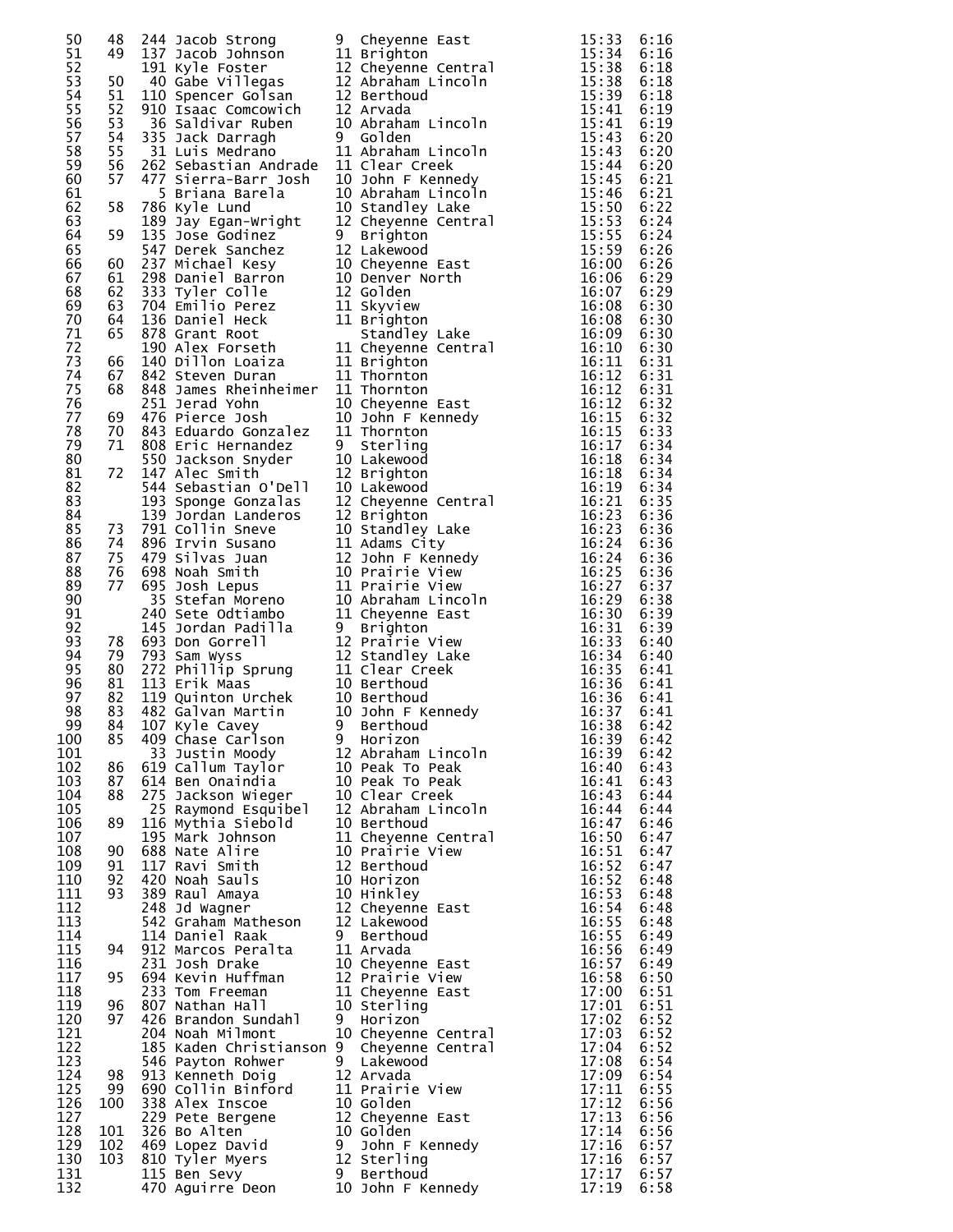| 50         | 48             | 244              | Jacob Strong                          | 9                                                        |
|------------|----------------|------------------|---------------------------------------|----------------------------------------------------------|
| 51         | 49             | 137              | Jacob Johnson                         |                                                          |
| 52<br>53   | 50             | 191<br>40        | Kyle Foster<br>Gabe Villegas          | $\frac{1}{1}$<br>$\frac{1}{1}$                           |
| 54<br>55   | 51<br>52<br>53 | 110<br>910<br>36 | Spencer Golsan<br>Isaac Comcowich     | $\overline{1}$<br>$\overline{1}$<br>$\overline{1}$<br>1( |
| 56<br>57   | 54             | 335              | Saldivar Ruben<br>Jack Darragh        | 9                                                        |
| 58         | 55             | 31               | Luis Medrano                          | $\frac{1}{1}$<br>$\frac{1}{10}$                          |
| 59         | 56             | 262              | Sebastian Andrade                     |                                                          |
| 60<br>61   | 57             | 5                | 477 Sierra-Barr Josh<br>Briana Barela | 1(                                                       |
| 62         | 58             | 786              | Kyle Lund                             | 1(                                                       |
| 63         |                | 189              | Jay Egan-Wright                       | 1:                                                       |
| 64<br>65   | 59             | 135<br>547       | Jose Godinez<br>Derek Sanchez         | $\frac{9}{1}$                                            |
| 66         | 60             | 237              | Michael Kesy                          | 1(                                                       |
| 67         | 61             | 298              | Daniel Barron                         | 1(                                                       |
| 68         | 62             | 333              | Tyler Colle                           | $\mathbf{1}$                                             |
| 69         | 63             | 704              | Emilio Perez                          | 1:                                                       |
| 70         | 64             | 136              | Daniel Heck                           | $1$ :                                                    |
| 71         | 65             | 878              | Grant Root                            |                                                          |
| 72<br>73   | 66             | 190              | Alex Forseth                          |                                                          |
| 74         | 67             |                  | 140 Dillon Loaiza<br>842 Steven Duran | $11111$<br>$111$<br>$11$                                 |
| 75<br>76   | 68             | 848<br>251       | James Rheinheimer<br>Jerad Yohn       |                                                          |
| 77         | 69             | 476              | Pierce Josh                           | 1(                                                       |
| 78         | 70             |                  | 843 Eduardo Gonzalez                  | $1$ :                                                    |
| 79<br>80   | 71             | 550              | 808 Eric Hernandez<br>Jackson Snyder  | 9<br>1(                                                  |
| 81         | 72             | 147              | Alec Smith                            | $\mathbf{1}$                                             |
| 82         |                | 544              | Sebastian O'Dell                      | 1(                                                       |
| 83<br>84   |                | 193<br>139       | Sponge Gonzalas<br>Jordan Landeros    | $\overline{1}$<br>$\overline{1}$<br>$\overline{1}$       |
| 85         | 73             | 791              | Collin Sneve                          | 1(                                                       |
| 86         | 74             | 896              | Irvin Susano                          |                                                          |
| 87         | 75             | 479              | Silvas Juan                           | $\frac{1}{1}$                                            |
| 88         | 76             | 698              | Noah Smith                            | 1(                                                       |
| 89<br>90   | 77             | 695              | Josh Lepus                            | $\overline{1}$<br>$\overline{1}$                         |
| 91         |                | 35<br>240        | Stefan Moreno<br>Sete Odtiambo        | $1$ :                                                    |
| 92<br>93   | 78             | 145              | Jordan Padilla<br>693 Don Gorrell     | 9<br>$\overline{1}$                                      |
| 94<br>95   | 79<br>80       | 793              | Sam Wyss<br>272 Phillip Sprung        | $\frac{1}{1}$<br>$\frac{1}{1}$                           |
| 96<br>97   | 81<br>82       |                  | 113 Erik Maas<br>119 Quinton Urchek   | 1(                                                       |
| 98         | 83             | 482              | Galvan Martin                         | 1(                                                       |
| 99         | 84             |                  | 107 Kyle Cavey                        | 9                                                        |
| 100        | 85             | 409              | Chase Carlson                         | 9                                                        |
| 101        |                | 33               | Justin Moody                          | 1.                                                       |
| 102        | 86             | 619              | Callum Taylor                         | 1(                                                       |
| 103        | 87             | 614              | Ben Onaindia                          | $\mathbf{1}$                                             |
| 104        | 88             | 275              | Jackson Wieger                        | $\mathbf{1}$                                             |
| 105        |                | 25               | Raymond Esquibel                      | $\mathbf{1}$                                             |
| 106        | 89             | 116              | Mythia Siebold                        | 1(                                                       |
| 107        |                | 195              | Mark Johnson                          | 1:                                                       |
| 108        | 90             | 688              | Alire                                 | 1(                                                       |
|            | 91             | 117              | Nate                                  | $\mathbf{1}$                                             |
| 109<br>110 | 92             | 420              | Ravi Smith<br>Noah Sauls              | 1(                                                       |
| 111        | 93             | 389              | Raul Amaya                            | $\mathbf{1}$                                             |
| 112        |                | 248              | Jd Wagner                             | $\frac{1}{1}$                                            |
| 113<br>114 |                | 542<br>114       | Graham Matheson<br>Daniel Raak        | 9                                                        |
| 115        | 94             | 912              | Marcos Peralta                        | $\overline{1}$ :                                         |
| 116        |                | 231              | Josh Drake                            | 1(                                                       |
| 117        | 95             | 694              | Kevin Huffman                         | $\mathbf{1}$                                             |
| 118        |                | 233              | Tom Freeman                           | 1:                                                       |
| 119        | 96             | 807              | Nathan Hall                           | 1 <sub>0</sub>                                           |
| 120        | 97             | 426              | Brandon Sundahl                       | 9                                                        |
| 121        |                | 204              | Noah Milmont                          | 1(                                                       |
| 122        |                | 185              | Kaden Christianson                    | 9                                                        |
| 123        | 98             | 546              | Payton Rohwer                         | 9                                                        |
| 124        |                | 913              | Kenneth Doig                          | 1                                                        |
| 125        | 99             | 690              | Collin Binford                        | 1:                                                       |
| 126        | 100            | 338              | Alex Inscoe                           | $\mathbf{1}$                                             |
| 127        |                | 229              | Pete Bergene                          | 1                                                        |
| 128        | 101            | 326              | Bo Alten                              | 1(                                                       |
| 129        | 102            | 469              | Lopez David                           | $\frac{9}{1}$                                            |
| 130<br>131 | 103            | 810<br>115       | Tyler Myers<br>Ben Sevy               | 9                                                        |
| 132        |                | 470              | Aguirre Deon                          | 1(                                                       |

| 50         | 48       |                 |                                                                                                                                                                                                                                                                                                                                     |  |
|------------|----------|-----------------|-------------------------------------------------------------------------------------------------------------------------------------------------------------------------------------------------------------------------------------------------------------------------------------------------------------------------------------|--|
| 51         | 49       |                 |                                                                                                                                                                                                                                                                                                                                     |  |
| 52         |          |                 |                                                                                                                                                                                                                                                                                                                                     |  |
| 53         | 50       |                 |                                                                                                                                                                                                                                                                                                                                     |  |
| 54         | 51       |                 | 244 Jacob Strong (1914)<br>112 Jacob Johnson (1916)<br>113 Jacob Johnson (1916)<br>113 Krighten (1813)<br>113 Jacob Johnson (118 Cheyenne Central 15:38 6:18<br>110 Gabe Villegas (12 Cheyenne Central 15:38 6:18<br>110 Species (1818)<br>                                                                                         |  |
| 55         | 52       |                 |                                                                                                                                                                                                                                                                                                                                     |  |
| 56         | 53<br>54 |                 |                                                                                                                                                                                                                                                                                                                                     |  |
| 57<br>58   | 55       |                 |                                                                                                                                                                                                                                                                                                                                     |  |
| 59         | 56       |                 |                                                                                                                                                                                                                                                                                                                                     |  |
| 60         | 57       |                 |                                                                                                                                                                                                                                                                                                                                     |  |
| 61         |          |                 |                                                                                                                                                                                                                                                                                                                                     |  |
| 62         | 58       |                 |                                                                                                                                                                                                                                                                                                                                     |  |
| 63         |          |                 |                                                                                                                                                                                                                                                                                                                                     |  |
| 64         | 59       |                 |                                                                                                                                                                                                                                                                                                                                     |  |
| 65         |          |                 |                                                                                                                                                                                                                                                                                                                                     |  |
| 66         | 60       |                 |                                                                                                                                                                                                                                                                                                                                     |  |
| 67         | 61       |                 |                                                                                                                                                                                                                                                                                                                                     |  |
| 68<br>69   | 62<br>63 |                 |                                                                                                                                                                                                                                                                                                                                     |  |
| 70         | 64       |                 |                                                                                                                                                                                                                                                                                                                                     |  |
| 71         | 65       |                 |                                                                                                                                                                                                                                                                                                                                     |  |
| 72         |          |                 |                                                                                                                                                                                                                                                                                                                                     |  |
| 73         | 66       |                 |                                                                                                                                                                                                                                                                                                                                     |  |
| 74         | 67       |                 |                                                                                                                                                                                                                                                                                                                                     |  |
| 75         | 68       |                 |                                                                                                                                                                                                                                                                                                                                     |  |
| 76         |          |                 |                                                                                                                                                                                                                                                                                                                                     |  |
| 77         | 69       |                 |                                                                                                                                                                                                                                                                                                                                     |  |
| 78<br>79   | 70<br>71 |                 |                                                                                                                                                                                                                                                                                                                                     |  |
| 80         |          |                 |                                                                                                                                                                                                                                                                                                                                     |  |
| 81         | 72       |                 |                                                                                                                                                                                                                                                                                                                                     |  |
| 82         |          |                 |                                                                                                                                                                                                                                                                                                                                     |  |
| 83         |          |                 |                                                                                                                                                                                                                                                                                                                                     |  |
| 84         |          |                 |                                                                                                                                                                                                                                                                                                                                     |  |
| 85         | 73       |                 |                                                                                                                                                                                                                                                                                                                                     |  |
| 86         | 74       |                 |                                                                                                                                                                                                                                                                                                                                     |  |
| 87         | 75       |                 |                                                                                                                                                                                                                                                                                                                                     |  |
| 88<br>89   | 76<br>77 |                 |                                                                                                                                                                                                                                                                                                                                     |  |
| 90         |          |                 |                                                                                                                                                                                                                                                                                                                                     |  |
| 91         |          |                 |                                                                                                                                                                                                                                                                                                                                     |  |
| 92         |          |                 |                                                                                                                                                                                                                                                                                                                                     |  |
| 93         | 78       |                 |                                                                                                                                                                                                                                                                                                                                     |  |
| 94         |          | 79 793 Sam Wyss |                                                                                                                                                                                                                                                                                                                                     |  |
| 95         | 80       |                 |                                                                                                                                                                                                                                                                                                                                     |  |
| 96         | 81       |                 |                                                                                                                                                                                                                                                                                                                                     |  |
| 97         | 82       |                 |                                                                                                                                                                                                                                                                                                                                     |  |
| 98         | 83       |                 |                                                                                                                                                                                                                                                                                                                                     |  |
| 99<br>100  |          |                 |                                                                                                                                                                                                                                                                                                                                     |  |
| 101        |          |                 |                                                                                                                                                                                                                                                                                                                                     |  |
| 102        |          |                 |                                                                                                                                                                                                                                                                                                                                     |  |
| 103        |          |                 |                                                                                                                                                                                                                                                                                                                                     |  |
| 104        |          |                 |                                                                                                                                                                                                                                                                                                                                     |  |
| 105        |          |                 |                                                                                                                                                                                                                                                                                                                                     |  |
| 106        |          |                 |                                                                                                                                                                                                                                                                                                                                     |  |
| 107        |          |                 |                                                                                                                                                                                                                                                                                                                                     |  |
| 108<br>109 |          |                 |                                                                                                                                                                                                                                                                                                                                     |  |
| 110        |          |                 |                                                                                                                                                                                                                                                                                                                                     |  |
| 111        |          |                 |                                                                                                                                                                                                                                                                                                                                     |  |
| 112        |          |                 |                                                                                                                                                                                                                                                                                                                                     |  |
| 113        |          |                 |                                                                                                                                                                                                                                                                                                                                     |  |
| 114        |          |                 |                                                                                                                                                                                                                                                                                                                                     |  |
| 115        |          |                 |                                                                                                                                                                                                                                                                                                                                     |  |
| 116        |          |                 |                                                                                                                                                                                                                                                                                                                                     |  |
| 117<br>118 |          |                 |                                                                                                                                                                                                                                                                                                                                     |  |
| 119        |          |                 |                                                                                                                                                                                                                                                                                                                                     |  |
| 120        |          |                 |                                                                                                                                                                                                                                                                                                                                     |  |
| 121        |          |                 |                                                                                                                                                                                                                                                                                                                                     |  |
| 122        |          |                 |                                                                                                                                                                                                                                                                                                                                     |  |
| 123        |          |                 |                                                                                                                                                                                                                                                                                                                                     |  |
| 124        |          |                 |                                                                                                                                                                                                                                                                                                                                     |  |
| 125        |          |                 |                                                                                                                                                                                                                                                                                                                                     |  |
| 126        |          |                 |                                                                                                                                                                                                                                                                                                                                     |  |
| 127<br>128 |          |                 |                                                                                                                                                                                                                                                                                                                                     |  |
| 129        |          |                 |                                                                                                                                                                                                                                                                                                                                     |  |
| 130        |          |                 |                                                                                                                                                                                                                                                                                                                                     |  |
| 131        |          |                 |                                                                                                                                                                                                                                                                                                                                     |  |
| 132        |          |                 | $\frac{16}{16}$<br>$\frac{23}{16}$<br>$\frac{23}{16}$<br>$\frac{23}{16}$<br>$\frac{23}{16}$<br>$\frac{23}{16}$<br>$\frac{23}{16}$<br>$\frac{23}{16}$<br>$\frac{23}{16}$<br>$\frac{23}{16}$<br>$\frac{23}{16}$<br>$\frac{23}{16}$<br>$\frac{23}{16}$<br>$\frac{23}{16}$<br>$\frac{23}{16}$<br>$\frac{23}{16}$<br>$\frac{23}{16}$<br> |  |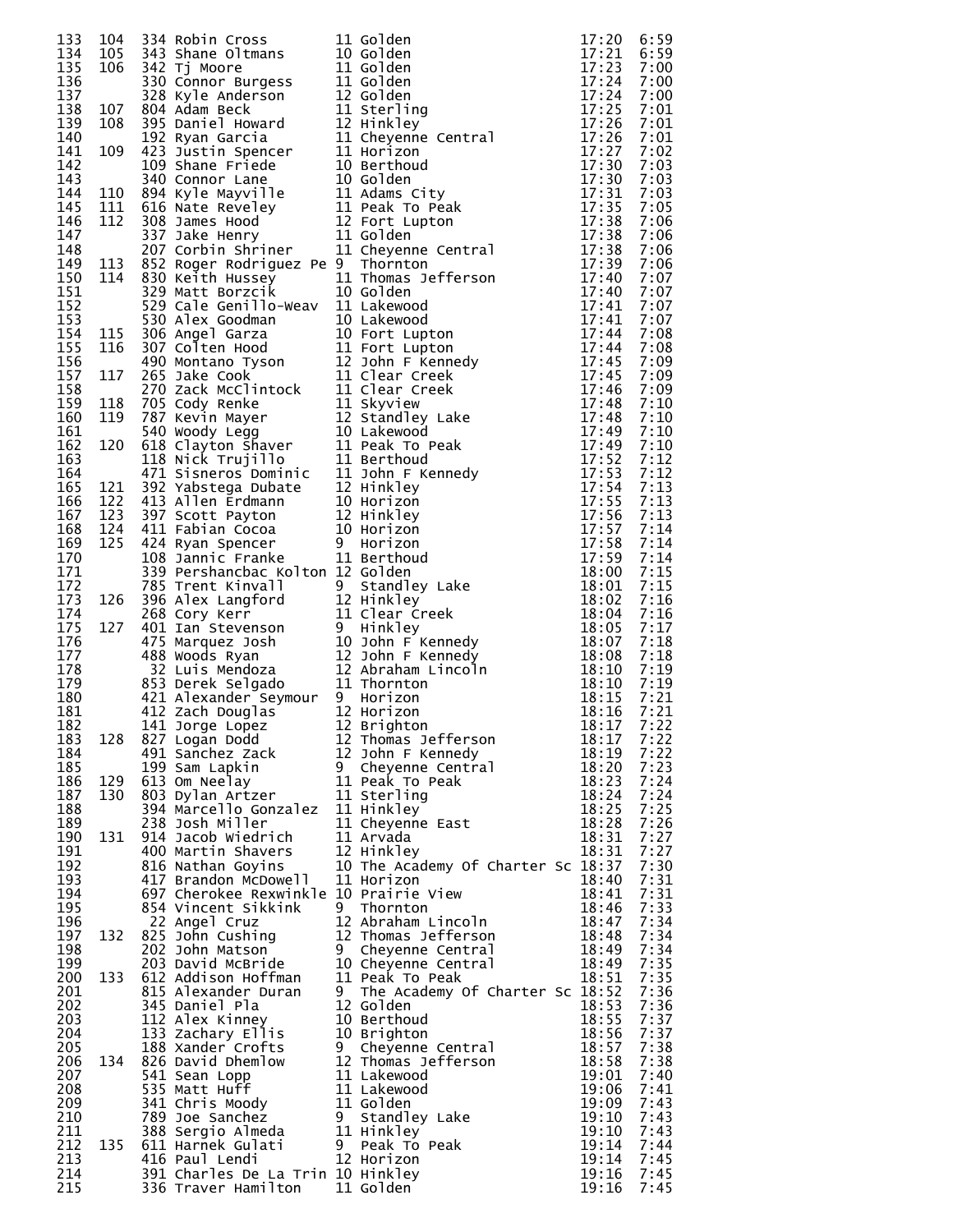|     |     |                                   | 133 104 334 Anbir Cross (11 Golden 11 27:20<br>133 105 344 Shane Oltmans 10 Golden 17:22<br>135 106 3442 Shane Oltmans 10 Golden 17:22<br>135 106 3442 Shane Oltmans 11 Golden 17:22<br>135 106 3442 Shane Oltmans 11 Golden 17:22<br>135 10                |       | 6:59         |
|-----|-----|-----------------------------------|-------------------------------------------------------------------------------------------------------------------------------------------------------------------------------------------------------------------------------------------------------------|-------|--------------|
|     |     |                                   |                                                                                                                                                                                                                                                             |       | 6:59         |
|     |     |                                   |                                                                                                                                                                                                                                                             |       | 7:00         |
|     |     |                                   |                                                                                                                                                                                                                                                             |       | 7:00         |
|     |     |                                   |                                                                                                                                                                                                                                                             |       | 7:00         |
|     |     |                                   |                                                                                                                                                                                                                                                             |       | 7:01         |
|     |     |                                   |                                                                                                                                                                                                                                                             |       | 7:01         |
|     |     |                                   |                                                                                                                                                                                                                                                             |       | 7:01         |
|     |     |                                   |                                                                                                                                                                                                                                                             |       | 7:02         |
|     |     |                                   |                                                                                                                                                                                                                                                             |       | 7:03         |
|     |     |                                   |                                                                                                                                                                                                                                                             |       | 7:03         |
|     |     |                                   |                                                                                                                                                                                                                                                             |       | 7:03         |
|     |     |                                   |                                                                                                                                                                                                                                                             |       | 7:05         |
|     |     |                                   |                                                                                                                                                                                                                                                             |       | 7:06         |
|     |     |                                   |                                                                                                                                                                                                                                                             |       | 7:06         |
|     |     |                                   |                                                                                                                                                                                                                                                             |       | 7:06         |
|     |     |                                   |                                                                                                                                                                                                                                                             |       | 7:06         |
|     |     |                                   |                                                                                                                                                                                                                                                             |       | 7:07         |
|     |     |                                   |                                                                                                                                                                                                                                                             |       | 7:07         |
|     |     |                                   |                                                                                                                                                                                                                                                             |       | 7:07         |
|     |     |                                   |                                                                                                                                                                                                                                                             |       | 7:07         |
|     |     |                                   |                                                                                                                                                                                                                                                             |       | 7:08         |
|     |     |                                   |                                                                                                                                                                                                                                                             |       | 7:08         |
|     |     |                                   |                                                                                                                                                                                                                                                             |       | 7:09         |
|     |     |                                   |                                                                                                                                                                                                                                                             |       | 7:09         |
|     |     |                                   |                                                                                                                                                                                                                                                             |       | 7:09         |
|     |     |                                   |                                                                                                                                                                                                                                                             |       | 7:10         |
|     |     |                                   |                                                                                                                                                                                                                                                             |       | 7:10         |
|     |     |                                   |                                                                                                                                                                                                                                                             |       | 7:10         |
|     |     |                                   |                                                                                                                                                                                                                                                             |       | 7:10         |
|     |     |                                   |                                                                                                                                                                                                                                                             |       | 7:12         |
|     |     |                                   |                                                                                                                                                                                                                                                             |       | 7:12         |
|     |     |                                   |                                                                                                                                                                                                                                                             |       | 7:13         |
|     |     |                                   |                                                                                                                                                                                                                                                             |       | 7:13         |
|     |     |                                   |                                                                                                                                                                                                                                                             |       | 7:13         |
|     |     |                                   |                                                                                                                                                                                                                                                             |       | 7:14         |
|     |     |                                   |                                                                                                                                                                                                                                                             |       | 7:14         |
|     |     |                                   |                                                                                                                                                                                                                                                             |       | 7:14         |
|     |     |                                   |                                                                                                                                                                                                                                                             |       | 7:15         |
|     |     |                                   |                                                                                                                                                                                                                                                             |       | 7:15         |
|     |     |                                   |                                                                                                                                                                                                                                                             |       | 7:16         |
|     |     |                                   |                                                                                                                                                                                                                                                             |       | 7:16         |
|     |     |                                   |                                                                                                                                                                                                                                                             |       | 7:17         |
|     |     |                                   |                                                                                                                                                                                                                                                             |       | 7:18         |
|     |     |                                   |                                                                                                                                                                                                                                                             |       | 7:18         |
|     |     |                                   |                                                                                                                                                                                                                                                             |       | 7:19         |
|     |     |                                   |                                                                                                                                                                                                                                                             |       | 7:19         |
|     |     |                                   |                                                                                                                                                                                                                                                             |       | 7:21         |
|     |     |                                   |                                                                                                                                                                                                                                                             |       | 7:21         |
|     |     |                                   |                                                                                                                                                                                                                                                             |       |              |
| 182 |     | 141 Jorge Lopez                   | 12 Brighton<br>141 Jorge Lopez 12 Brighton 18:17<br>827 Logan Dodd 12 Thomas Jefferson 18:17<br>491 Sanchez Zack 12 John F Kennedy 18:19<br>199 Sam Lapkin 9 Cheyenne Central 18:20<br>613 Om Neelay 11 Peak To Peak 18:24<br>803 Dylan Artzer 11 Sterl     | 18:17 | 7:22         |
| 183 | 128 |                                   |                                                                                                                                                                                                                                                             |       | 7:22<br>7:22 |
| 184 |     |                                   |                                                                                                                                                                                                                                                             |       |              |
| 185 |     |                                   |                                                                                                                                                                                                                                                             |       | 7:23         |
| 186 | 129 |                                   |                                                                                                                                                                                                                                                             |       | 7:24         |
| 187 | 130 |                                   |                                                                                                                                                                                                                                                             |       | 7:24         |
| 188 |     |                                   |                                                                                                                                                                                                                                                             |       | 7:25         |
| 189 |     |                                   |                                                                                                                                                                                                                                                             |       | 7:26         |
| 190 | 131 | 914 Jacob Wiedrich                | 11 Arvada                                                                                                                                                                                                                                                   | 18:31 | 7:27         |
| 191 |     | 400 Martin Shavers                | 12 Hinkley                                                                                                                                                                                                                                                  | 18:31 | 7:27         |
| 192 |     | 816 Nathan Goyins                 | 10 The Academy Of Charter Sc 18:37                                                                                                                                                                                                                          |       | 7:30         |
| 193 |     | 417 Brandon McDowell              | 11 Horizon                                                                                                                                                                                                                                                  | 18:40 | 7:31         |
| 194 |     |                                   |                                                                                                                                                                                                                                                             |       | 7:31         |
| 195 |     |                                   |                                                                                                                                                                                                                                                             |       | 7:33         |
| 196 |     |                                   |                                                                                                                                                                                                                                                             |       | 7:34         |
| 197 | 132 |                                   |                                                                                                                                                                                                                                                             |       | 7:34         |
| 198 |     |                                   |                                                                                                                                                                                                                                                             |       | 7:34         |
| 199 |     |                                   |                                                                                                                                                                                                                                                             |       | 7:35         |
| 200 | 133 |                                   |                                                                                                                                                                                                                                                             |       | 7:35         |
| 201 |     |                                   |                                                                                                                                                                                                                                                             |       | 7:36         |
| 202 |     |                                   | Example Cruz<br>angel Cruz<br>12 Abraham Lincoln<br>18:44<br>203 Dohn Matson<br>203 Dohn Matson<br>203 Dohn Matson<br>203 Dohn Matson<br>203 Dohn Matson<br>203 Dohn Matson<br>203 Dohn Matson<br>203 Dohn Matson<br>203 Dohn Matson<br>203 Dohn Matson<br> |       | 7:36         |
| 203 |     |                                   |                                                                                                                                                                                                                                                             |       | 7:37         |
| 204 |     |                                   |                                                                                                                                                                                                                                                             |       | 7:37         |
| 205 |     |                                   |                                                                                                                                                                                                                                                             |       | 7:38         |
| 206 | 134 |                                   |                                                                                                                                                                                                                                                             |       | 7:38         |
| 207 |     |                                   |                                                                                                                                                                                                                                                             |       | 7:40         |
| 208 |     |                                   |                                                                                                                                                                                                                                                             |       | 7:41         |
| 209 |     |                                   |                                                                                                                                                                                                                                                             |       | 7:43         |
| 210 |     |                                   |                                                                                                                                                                                                                                                             |       | 7:43         |
| 211 |     |                                   | 203 David McBride 10 Cheyenne Central 18:49<br>612 Addison Hoffman 11 Peak 18:51<br>815 Alexander Duran 9 The Academy Of Charter Sc 18:52<br>345 Daniel Pla 12 Golden 18:53<br>112 Alex Kinney 10 Berthoud 18:55<br>133 Zachary Ellis 10                    |       | 7:43         |
| 212 | 135 |                                   |                                                                                                                                                                                                                                                             |       | 7:44         |
| 213 |     |                                   |                                                                                                                                                                                                                                                             |       | 7:45         |
| 214 |     | 391 Charles De La Trin 10 Hinkley |                                                                                                                                                                                                                                                             | 19:16 | 7:45         |
| 215 |     | 336 Traver Hamilton 11 Golden     |                                                                                                                                                                                                                                                             | 19:16 | 7:45         |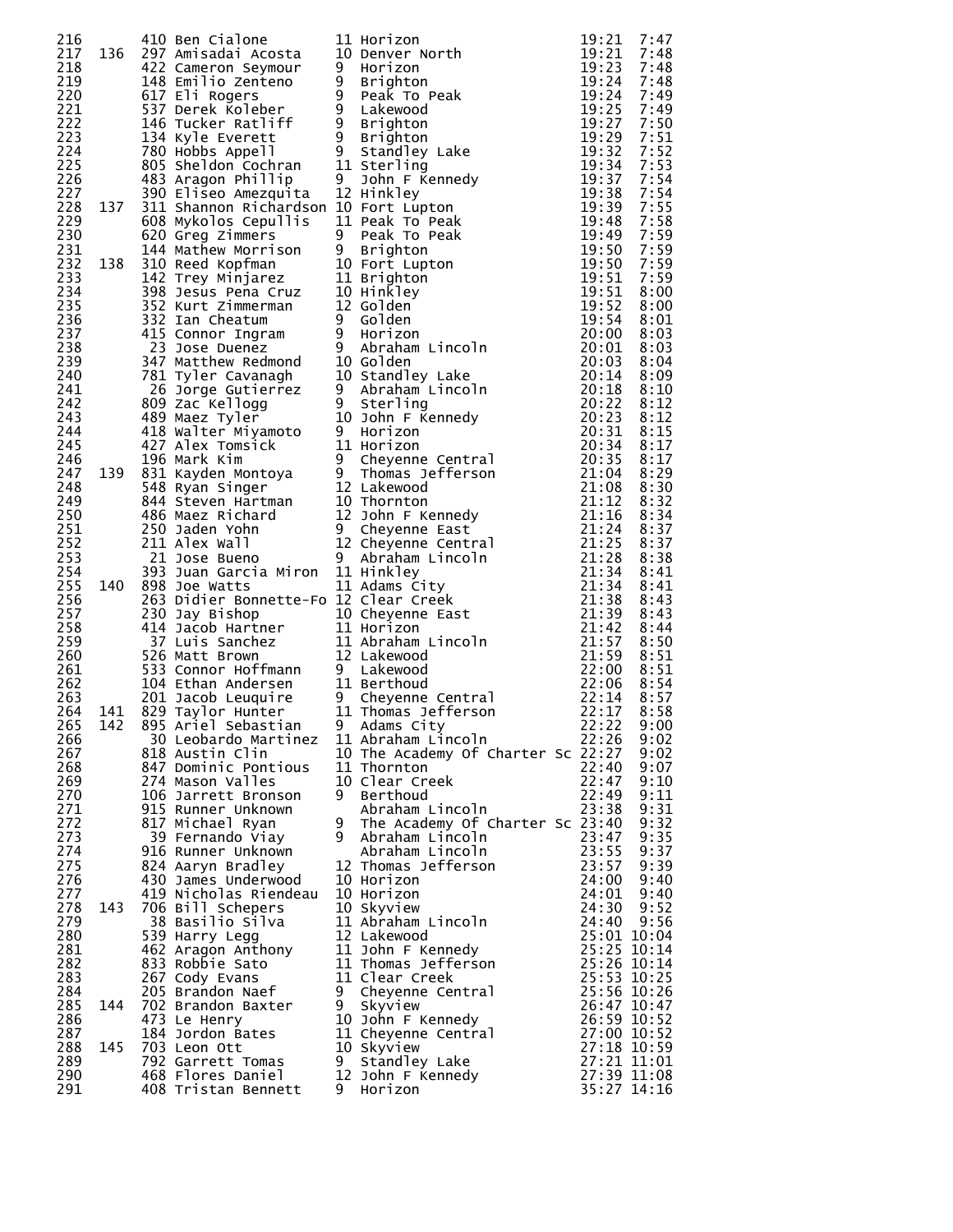|            |     |                                          |     | 216<br>217 136 420 Canonical interior of the prior one of the state of the state of the state of the state of the state of the state of the state of the state of the state of the state of the state of the state of the state |                         |              |
|------------|-----|------------------------------------------|-----|---------------------------------------------------------------------------------------------------------------------------------------------------------------------------------------------------------------------------------|-------------------------|--------------|
|            |     |                                          |     |                                                                                                                                                                                                                                 |                         |              |
|            |     |                                          |     |                                                                                                                                                                                                                                 |                         |              |
|            |     |                                          |     |                                                                                                                                                                                                                                 |                         |              |
|            |     |                                          |     |                                                                                                                                                                                                                                 |                         |              |
|            |     |                                          |     |                                                                                                                                                                                                                                 |                         |              |
|            |     |                                          |     |                                                                                                                                                                                                                                 |                         |              |
|            |     |                                          |     |                                                                                                                                                                                                                                 |                         |              |
|            |     |                                          |     |                                                                                                                                                                                                                                 |                         |              |
|            |     |                                          |     |                                                                                                                                                                                                                                 |                         |              |
|            |     |                                          |     |                                                                                                                                                                                                                                 |                         |              |
|            |     |                                          |     |                                                                                                                                                                                                                                 |                         |              |
|            |     |                                          |     |                                                                                                                                                                                                                                 |                         |              |
|            |     |                                          |     |                                                                                                                                                                                                                                 |                         |              |
|            |     |                                          |     |                                                                                                                                                                                                                                 |                         |              |
|            |     |                                          |     |                                                                                                                                                                                                                                 |                         |              |
|            |     |                                          |     |                                                                                                                                                                                                                                 |                         |              |
|            |     |                                          |     |                                                                                                                                                                                                                                 |                         |              |
|            |     |                                          |     |                                                                                                                                                                                                                                 |                         |              |
|            |     |                                          |     |                                                                                                                                                                                                                                 |                         |              |
|            |     |                                          |     |                                                                                                                                                                                                                                 |                         |              |
|            |     |                                          |     |                                                                                                                                                                                                                                 |                         |              |
|            |     |                                          |     |                                                                                                                                                                                                                                 |                         |              |
|            |     |                                          |     |                                                                                                                                                                                                                                 |                         |              |
|            |     |                                          |     |                                                                                                                                                                                                                                 |                         |              |
|            |     |                                          |     |                                                                                                                                                                                                                                 |                         |              |
|            |     |                                          |     |                                                                                                                                                                                                                                 |                         |              |
|            |     |                                          |     |                                                                                                                                                                                                                                 |                         |              |
|            |     |                                          |     |                                                                                                                                                                                                                                 |                         |              |
|            |     |                                          |     |                                                                                                                                                                                                                                 |                         |              |
|            |     |                                          |     |                                                                                                                                                                                                                                 |                         |              |
|            |     |                                          |     |                                                                                                                                                                                                                                 |                         |              |
|            |     |                                          |     |                                                                                                                                                                                                                                 |                         |              |
|            |     |                                          |     |                                                                                                                                                                                                                                 |                         |              |
|            |     |                                          |     |                                                                                                                                                                                                                                 |                         |              |
|            |     |                                          |     |                                                                                                                                                                                                                                 |                         |              |
|            |     |                                          |     |                                                                                                                                                                                                                                 |                         |              |
|            |     |                                          |     |                                                                                                                                                                                                                                 |                         |              |
|            |     |                                          |     |                                                                                                                                                                                                                                 |                         |              |
|            |     |                                          |     |                                                                                                                                                                                                                                 |                         |              |
|            |     |                                          |     |                                                                                                                                                                                                                                 |                         |              |
|            |     |                                          |     |                                                                                                                                                                                                                                 |                         |              |
|            |     |                                          |     |                                                                                                                                                                                                                                 |                         |              |
|            |     |                                          |     |                                                                                                                                                                                                                                 |                         |              |
|            |     |                                          |     |                                                                                                                                                                                                                                 |                         |              |
|            |     |                                          |     |                                                                                                                                                                                                                                 |                         |              |
| 267        |     | 818 Austin Clin                          |     | 10 The Academy Of Charter Sc 22:27                                                                                                                                                                                              |                         | 9:02         |
| 268<br>269 |     | 847 Dominic Pontious<br>274 Mason Valles |     | 11 Thornton<br>10 Clear Creek                                                                                                                                                                                                   | 22:40<br>22:47          | 9:07<br>9:10 |
| 270        |     | 106 Jarrett Bronson                      |     | 9 Berthoud                                                                                                                                                                                                                      | 22:49                   | 9:11         |
| 271        |     | 915 Runner Unknown                       |     | Abraham Lincoln                                                                                                                                                                                                                 | 23:38                   | 9:31         |
| 272        |     | 817 Michael Ryan                         |     | 9 The Academy Of Charter Sc 23:40                                                                                                                                                                                               |                         | 9:32         |
| 273        |     | 39 Fernando Viay                         |     | 9 Abraham Lincoln                                                                                                                                                                                                               |                         | 9:35         |
| 274        |     | 916 Runner Unknown                       |     | Abraham Lincoln                                                                                                                                                                                                                 | 23:47<br>23:55<br>23:57 | 9:37         |
| 275        |     | 824 Aaryn Bradley                        |     | 12 Thomas Jefferson                                                                                                                                                                                                             |                         | 9:39         |
| 276        |     | 430 James Underwood                      |     | 10 Horizon                                                                                                                                                                                                                      | 24:00                   | 9:40         |
| 277        |     | 419 Nicholas Riendeau                    |     | 10 Horizon                                                                                                                                                                                                                      | 24:01                   | 9:40         |
| 278<br>279 | 143 | 706 Bill Schepers<br>38 Basilio Silva    |     | 10 Skyview<br>11 Abraham Lincoln                                                                                                                                                                                                | 24:30<br>24:40          | 9:52<br>9:56 |
| 280        |     | 539 Harry Legg                           |     | 12 Lakewood                                                                                                                                                                                                                     | 25:01 10:04             |              |
| 281        |     | 462 Aragon Anthony                       |     | 11 John F Kennedy                                                                                                                                                                                                               | 25:25 10:14             |              |
| 282        |     | 833 Robbie Sato                          |     | 11 Thomas Jefferson                                                                                                                                                                                                             | 25:26 10:14             |              |
| 283        |     | 267 Cody Evans                           |     | 11 Clear Creek                                                                                                                                                                                                                  | 25:53 10:25             |              |
| 284        |     | 205 Brandon Naef                         |     | 9 Cheyenne Central                                                                                                                                                                                                              | 25:56 10:26             |              |
| 285        | 144 | 702 Brandon Baxter                       | 9   | Skyview                                                                                                                                                                                                                         | 26:47 10:47             |              |
| 286        |     | 473 Le Henry                             |     | 10 John F Kennedy                                                                                                                                                                                                               | 26:59 10:52             |              |
| 287        |     | 184 Jordon Bates                         |     | 11 Cheyenne Central                                                                                                                                                                                                             | 27:00 10:52             |              |
| 288        | 145 | 703 Leon Ott                             |     | 10 Skyview                                                                                                                                                                                                                      | 27:18 10:59             |              |
| 289<br>290 |     | 792 Garrett Tomas                        | 9   | Standley Lake                                                                                                                                                                                                                   | 27:21 11:01             |              |
| 291        |     | 468 Flores Daniel<br>408 Tristan Bennett | - 9 | 12 John F Kennedy<br>Horizon                                                                                                                                                                                                    | 27:39 11:08             | 35:27 14:16  |
|            |     |                                          |     |                                                                                                                                                                                                                                 |                         |              |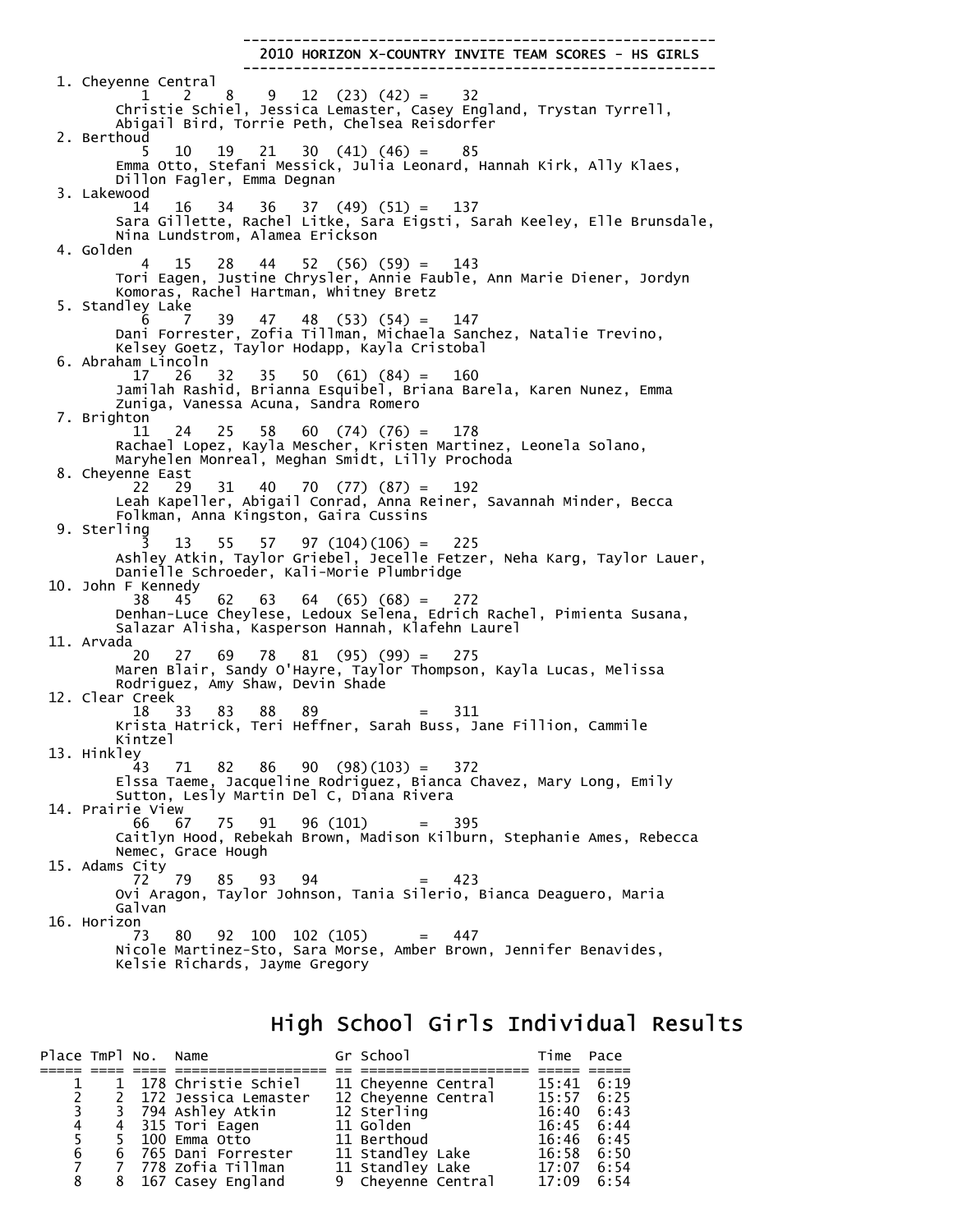-------------------------------------------------------- 2010 HORIZON X-COUNTRY INVITE TEAM SCORES - HS GIRLS -------------------------------------------------------- 1. Cheyenne Central<br>1 2 8 1 2 8 9 12 (23) (42) = 32 Christie Schiel, Jessica Lemaster, Casey England, Trystan Tyrrell, Abigail Bird, Torrie Peth, Chelsea Reisdorfer 2. Berthoud 5 10 19 21 30 (41) (46) = 85 Emma Otto, Stefani Messick, Julia Leonard, Hannah Kirk, Ally Klaes, Dillon Fagler, Emma Degnan 3. Lakewood 14 16 34 36 37 (49) (51) = 137 Sara Gillette, Rachel Litke, Sara Eigsti, Sarah Keeley, Elle Brunsdale, Nina Lundstrom, Alamea Erickson 4. Golden 4 15 28 44 52 (56) (59) = 143 Tori Eagen, Justine Chrysler, Annie Fauble, Ann Marie Diener, Jordyn Komoras, Rachel Hartman, Whitney Bretz 5. Standley Lake 6 7 39 47 48 (53) (54) = 147 Dani Forrester, Zofia Tillman, Michaela Sanchez, Natalie Trevino, Kelsey Goetz, Taylor Hodapp, Kayla Cristobal 6. Abraham Lincoln<br> $\begin{array}{cc} 6. & 12 \\ 17 & 26 \\ 32 \end{array}$  $35 \quad 50 \quad (61) \quad (84) = 160$  Jamilah Rashid, Brianna Esquibel, Briana Barela, Karen Nunez, Emma Zuniga, Vanessa Acuna, Sandra Romero 7. Brighton 11 24 25 58 60 (74) (76) = 178 Rachael Lopez, Kayla Mescher, Kristen Martinez, Leonela Solano, Maryhelen Monreal, Meghan Smidt, Lilly Prochoda 8. Cheyenne East 22 29 31 40 70 (77) (87) = 192 Leah Kapeller, Abigail Conrad, Anna Reiner, Savannah Minder, Becca Folkman, Anna Kingston, Gaira Cussins 9. Sterling 3 13 55 57 97 (104)(106) = 225 Ashley Atkin, Taylor Griebel, Jecelle Fetzer, Neha Karg, Taylor Lauer, Danielle Schroeder, Kali-Morie Plumbridge 10. John F Kennedy 38 45 62 63 64 (65) (68) = 272 Denhan-Luce Cheylese, Ledoux Selena, Edrich Rachel, Pimienta Susana, Salazar Alisha, Kasperson Hannah, Klafehn Laurel 11. Arvada<br>20 20 27 69 78 81 (95) (99) = 275 Maren Blair, Sandy O'Hayre, Taylor Thompson, Kayla Lucas, Melissa Rodriguez, Amy Shaw, Devin Shade 12. Clear Creek 18 33 83 88 89 = 311 Krista Hatrick, Teri Heffner, Sarah Buss, Jane Fillion, Cammile Kintzel 13. Hinkley 43 71 82 86 90 (98)(103) = 372 Elssa Taeme, Jacqueline Rodriguez, Bianca Chavez, Mary Long, Emily Sutton, Lesly Martin Del C, Diana Rivera 14. Prairie View 66 67 75 91 96 (101) = 395 Caitlyn Hood, Rebekah Brown, Madison Kilburn, Stephanie Ames, Rebecca Nemec, Grace Hough 15. Adams City 72 79 85 93 94 = 423 Ovi Aragon, Taylor Johnson, Tania Silerio, Bianca Deaguero, Maria Galvan 16. Horizon 73 80 92 100 102 (105) = 447 Nicole Martinez-Sto, Sara Morse, Amber Brown, Jennifer Benavides, Kelsie Richards, Jayme Gregory

#### High School Girls Individual Results

| Place TmPl No. Name |             |                        | Gr School           | Time Pace          |  |
|---------------------|-------------|------------------------|---------------------|--------------------|--|
|                     |             |                        |                     |                    |  |
|                     |             | 1 178 Christie Schiel  | 11 Cheyenne Central | $15:41 \quad 6:19$ |  |
|                     | $2^{\circ}$ | 2 172 Jessica Lemaster | 12 Cheyenne Central | $15:57 \quad 6:25$ |  |
|                     | $3^{\circ}$ | 3 794 Ashley Atkin     | 12 Sterling         | $16:40 \quad 6:43$ |  |
| $\overline{4}$      |             | 4 315 Tori Eagen       | 11 Golden           | $16:45 \quad 6:44$ |  |
| 5.                  |             | 5 100 Emma Otto        | 11 Berthoud         | $16:46$ $6:45$     |  |
| 6                   |             | 6 765 Dani Forrester   | 11 Standley Lake    | $16:58$ $6:50$     |  |
| $\overline{7}$      |             | 7  778 zofia ⊤illman   | 11 Standley Lake    | $17:07$ 6:54       |  |
| 8                   |             | 8 167 Casey England    | 9 Cheyenne Central  | $17:09$ 6:54       |  |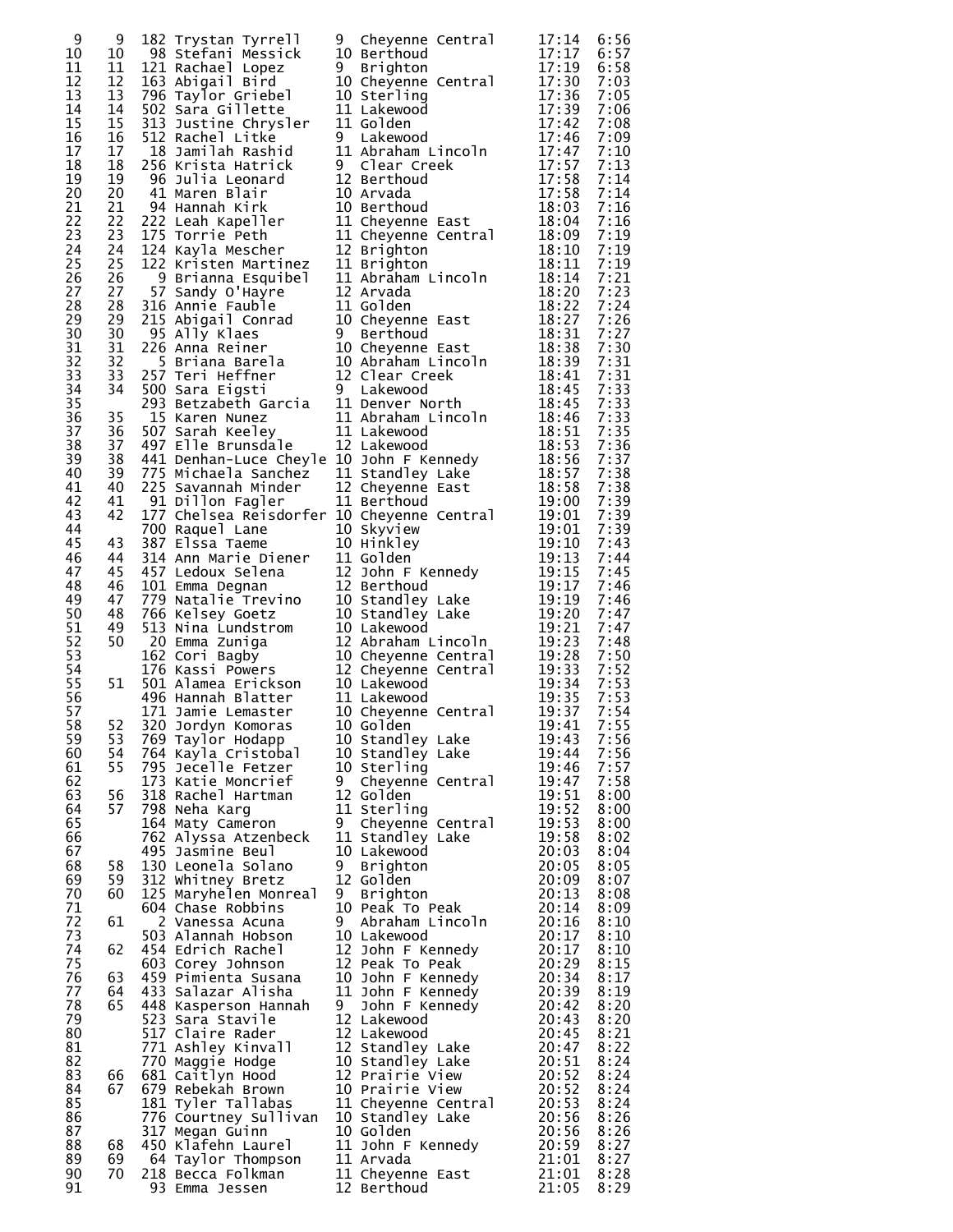| 9  | 9  | 182 Trystan Tyrrell                                                                                                                                                                                                                                          | 9 | Cheyenne Central    | 17:14 | 6:56 |
|----|----|--------------------------------------------------------------------------------------------------------------------------------------------------------------------------------------------------------------------------------------------------------------|---|---------------------|-------|------|
| 10 | 10 | 98 Stefani Messick                                                                                                                                                                                                                                           |   | 10 Berthoud         | 17:17 | 6:57 |
| 11 | 11 | 121 Rachael Lopez                                                                                                                                                                                                                                            | 9 | <b>Brighton</b>     | 17:19 | 6:58 |
| 12 | 12 |                                                                                                                                                                                                                                                              |   | 10 Cheyenne Central | 17:30 | 7:03 |
| 13 | 13 |                                                                                                                                                                                                                                                              |   |                     | 17:36 | 7:05 |
| 14 | 14 | 3<br>1 Racn.<br>3 Abigail<br>96 Taylor Griebe<br>02 Sara Gillette<br>313 Justine Chrysler<br>11 S12 Rachel Litke<br>9 Lake.<br>12 Damilah Rashid<br>256 Krista Hatrick<br>9 Clear Creek<br>96 Julia Leonard<br>12 Berthoud<br>10 Arvada<br>10 Arvada<br>11 C |   |                     | 17:39 | 7:06 |
| 15 | 15 |                                                                                                                                                                                                                                                              |   |                     | 17:42 | 7:08 |
| 16 | 16 |                                                                                                                                                                                                                                                              |   |                     | 17:46 | 7:09 |
| 17 | 17 |                                                                                                                                                                                                                                                              |   | 11 Abraham Lincoln  | 17:47 | 7:10 |
| 18 | 18 |                                                                                                                                                                                                                                                              |   |                     | 17:57 | 7:13 |
| 19 | 19 |                                                                                                                                                                                                                                                              |   |                     | 17:58 | 7:14 |
| 20 | 20 |                                                                                                                                                                                                                                                              |   |                     | 17:58 | 7:14 |
| 21 | 21 |                                                                                                                                                                                                                                                              |   |                     | 18:03 | 7:16 |
| 22 | 22 |                                                                                                                                                                                                                                                              |   |                     | 18:04 | 7:16 |
| 23 | 23 |                                                                                                                                                                                                                                                              |   |                     | 18:09 | 7:19 |
| 24 | 24 |                                                                                                                                                                                                                                                              |   | 11 Cheyenne Central | 18:10 | 7:19 |
|    |    |                                                                                                                                                                                                                                                              |   |                     |       |      |
| 25 | 25 |                                                                                                                                                                                                                                                              |   |                     | 18:11 | 7:19 |
| 26 | 26 |                                                                                                                                                                                                                                                              |   | 11 Abraham Lincoln  | 18:14 | 7:21 |
| 27 | 27 | 57 Sandy O'Hayre                                                                                                                                                                                                                                             |   | 12 Arvada           | 18:20 | 7:23 |
| 28 | 28 | 316 Annie Fauble                                                                                                                                                                                                                                             |   | 11 Golden           | 18:22 | 7:24 |
| 29 | 29 |                                                                                                                                                                                                                                                              |   |                     | 18:27 | 7:26 |
| 30 | 30 |                                                                                                                                                                                                                                                              |   |                     | 18:31 | 7:27 |
| 31 | 31 |                                                                                                                                                                                                                                                              |   |                     | 18:38 | 7:30 |
| 32 | 32 |                                                                                                                                                                                                                                                              |   |                     | 18:39 | 7:31 |
| 33 | 33 |                                                                                                                                                                                                                                                              |   |                     | 18:41 | 7:31 |
| 34 | 34 |                                                                                                                                                                                                                                                              |   |                     | 18:45 | 7:33 |
| 35 |    |                                                                                                                                                                                                                                                              |   |                     | 18:45 | 7:33 |
| 36 | 35 | 215 Abigail Conrad 10 Cheyenne East<br>215 Ally Klaes 9 Berthoud<br>226 Anna Reiner 10 Cheyenne East<br>5 Briana Barela 10 Abraham Lincoln<br>257 Teri Heffner 12 Clear Creek<br>500 Sara Eigsti 9 Lakewood<br>293 Betzabeth Garcia 11 Den                   |   |                     | 18:46 | 7:33 |
| 37 | 36 | 507 Sarah Keeley                                                                                                                                                                                                                                             |   | 11 Lakewood         | 18:51 | 7:35 |
| 38 | 37 | 497 Elle Brunsdale                                                                                                                                                                                                                                           |   | 12 Lakewood         | 18:53 | 7:36 |
| 39 | 38 | 441 Denhan-Luce Cheyle 10 John F Kennedy                                                                                                                                                                                                                     |   |                     | 18:56 | 7:37 |
| 40 | 39 | 775 Michaela Sanchez                                                                                                                                                                                                                                         |   | 11 Standley Lake    | 18:57 | 7:38 |
| 41 | 40 | 225 Savannah Minder                                                                                                                                                                                                                                          |   | 12 Cheyenne East    | 18:58 | 7:38 |
| 42 | 41 | 91 Dillon Fagler                                                                                                                                                                                                                                             |   | 11 Berthoud         | 19:00 | 7:39 |
| 43 | 42 | 177 Chelsea Reisdorfer 10 Cheyenne Central                                                                                                                                                                                                                   |   |                     | 19:01 | 7:39 |
| 44 |    | 700 Raquel Lane                                                                                                                                                                                                                                              |   | 10 Skyview          | 19:01 | 7:39 |
| 45 | 43 | 387 Elssa Taeme                                                                                                                                                                                                                                              |   | 10 Hinkley          | 19:10 | 7:43 |
| 46 | 44 |                                                                                                                                                                                                                                                              |   | 11 Golden           | 19:13 | 7:44 |
| 47 | 45 | 314 Ann Marie Diener<br>457 Ledoux Selena<br>457 Ledoux Selena                                                                                                                                                                                               |   | 12 John F Kennedy   | 19:15 | 7:45 |
| 48 | 46 |                                                                                                                                                                                                                                                              |   |                     | 19:17 | 7:46 |
| 49 | 47 |                                                                                                                                                                                                                                                              |   |                     | 19:19 | 7:46 |
| 50 | 48 | 457 Ledoux Selena<br>12 John F Kennedy<br>101 Emma Degnan<br>779 Natalie Trevino<br>70 Natalie Trevino<br>10 Standley Lake<br>766 Kelsey Goetz<br>10 Cheyenne Cent<br>162 Cori Bagby<br>10 Cheyenne Centr<br>176 Kassi Powers<br>10 Cheyenne Centr<br>       |   | 10 Standley Lake    | 19:20 | 7:47 |
| 51 | 49 |                                                                                                                                                                                                                                                              |   |                     | 19:21 | 7:47 |
|    |    |                                                                                                                                                                                                                                                              |   | 12 Abraham Lincoln  | 19:23 | 7:48 |
| 52 | 50 |                                                                                                                                                                                                                                                              |   |                     |       |      |
| 53 |    |                                                                                                                                                                                                                                                              |   | 10 Cheyenne Central | 19:28 | 7:50 |
| 54 |    |                                                                                                                                                                                                                                                              |   | 12 Cheyenne Central | 19:33 | 7:52 |
| 55 | 51 | 501 Alamea Erickson<br>496 Hannah Blatter                                                                                                                                                                                                                    |   | 10 Lakewood         | 19:34 | 7:53 |
| 56 |    | 496 Hannah Blatter                                                                                                                                                                                                                                           |   | 11 Lakewood         | 19:35 | 7:53 |
| 57 |    | 171 Jamie Lemaster                                                                                                                                                                                                                                           |   | 10 Cheyenne Central | 19:37 | 7:54 |
| 58 | 52 | 320 Jordyn Komoras                                                                                                                                                                                                                                           |   | 10 Golden           | 19:41 | 7:55 |
| 59 | 53 | 769 Taylor Hodapp                                                                                                                                                                                                                                            |   | 10 Standley Lake    | 19:43 | 7:56 |
| 60 | 54 | 764 Kayla Cristobal                                                                                                                                                                                                                                          |   | 10 Standley Lake    | 19:44 | 7:56 |
| 61 | 55 | 795 Jecelle Fetzer                                                                                                                                                                                                                                           |   | 10 Sterling         | 19:46 | 7:57 |
| 62 |    | 173 Katie Moncrief                                                                                                                                                                                                                                           | 9 | Cheyenne Central    | 19:47 | 7:58 |
| 63 | 56 | 318 Rachel Hartman                                                                                                                                                                                                                                           |   | 12 Golden           | 19:51 | 8:00 |
| 64 | 57 | 798 Neha Karq                                                                                                                                                                                                                                                |   | 11 Sterling         | 19:52 | 8:00 |
| 65 |    | 164 Maty Cameron                                                                                                                                                                                                                                             | 9 | Cheyenne Central    | 19:53 | 8:00 |
| 66 |    | 762 Alyssa Atzenbeck                                                                                                                                                                                                                                         |   | 11 Standley Lake    | 19:58 | 8:02 |
| 67 |    | 495 Jasmine Beul                                                                                                                                                                                                                                             |   | 10 Lakewood         | 20:03 | 8:04 |
| 68 | 58 | 130 Leonela Solano                                                                                                                                                                                                                                           | 9 | <b>Brighton</b>     | 20:05 | 8:05 |
| 69 | 59 | 312 Whitney Bretz                                                                                                                                                                                                                                            |   | 12 Golden           | 20:09 | 8:07 |
| 70 | 60 | 125 Maryhelen Monreal                                                                                                                                                                                                                                        | 9 | <b>Brighton</b>     | 20:13 | 8:08 |
| 71 |    | 604 Chase Robbins                                                                                                                                                                                                                                            |   | 10 Peak To Peak     | 20:14 | 8:09 |
| 72 | 61 | 2 Vanessa Acuna                                                                                                                                                                                                                                              | 9 | Abraham Lincoln     | 20:16 | 8:10 |
| 73 |    | 503 Alannah Hobson                                                                                                                                                                                                                                           |   | 10 Lakewood         | 20:17 | 8:10 |
| 74 | 62 | 454 Edrich Rachel                                                                                                                                                                                                                                            |   | 12 John F Kennedy   | 20:17 | 8:10 |
| 75 |    | 603 Corey Johnson                                                                                                                                                                                                                                            |   | 12 Peak To Peak     | 20:29 | 8:15 |
| 76 | 63 | 459 Pimienta Susana                                                                                                                                                                                                                                          |   | 10 John F Kennedy   | 20:34 | 8:17 |
| 77 | 64 | 433 Salazar Alisha                                                                                                                                                                                                                                           |   | 11 John F Kennedy   | 20:39 | 8:19 |
| 78 | 65 | 448 Kasperson Hannah                                                                                                                                                                                                                                         | 9 | John F Kennedy      | 20:42 | 8:20 |
| 79 |    | 523 Sara Stavile                                                                                                                                                                                                                                             |   | 12 Lakewood         | 20:43 | 8:20 |
| 80 |    | 517 Claire Rader                                                                                                                                                                                                                                             |   | 12 Lakewood         | 20:45 | 8:21 |
| 81 |    | 771 Ashley Kinvall                                                                                                                                                                                                                                           |   | 12 Standley Lake    | 20:47 | 8:22 |
| 82 |    | 770 Maggie Hodge                                                                                                                                                                                                                                             |   | 10 Standley Lake    | 20:51 | 8:24 |
| 83 | 66 | 681 Caitlyn Hood                                                                                                                                                                                                                                             |   | 12 Prairie View     | 20:52 | 8:24 |
| 84 | 67 | 679 Rebekah Brown                                                                                                                                                                                                                                            |   | 10 Prairie View     | 20:52 | 8:24 |
| 85 |    | 181 Tyler Tallabas                                                                                                                                                                                                                                           |   | 11 Cheyenne Central | 20:53 | 8:24 |
| 86 |    | 776 Courtney Sullivan                                                                                                                                                                                                                                        |   | 10 Standley Lake    | 20:56 | 8:26 |
| 87 |    | 317 Megan Guinn                                                                                                                                                                                                                                              |   | 10 Golden           | 20:56 | 8:26 |
| 88 | 68 | 450 Klafehn Laurel                                                                                                                                                                                                                                           |   | 11 John F Kennedy   | 20:59 | 8:27 |
| 89 | 69 | 64 Taylor Thompson                                                                                                                                                                                                                                           |   | 11 Arvada           | 21:01 | 8:27 |
| 90 | 70 | 218 Becca Folkman                                                                                                                                                                                                                                            |   | 11 Cheyenne East    | 21:01 | 8:28 |
| 91 |    | 93 Emma Jessen                                                                                                                                                                                                                                               |   | 12 Berthoud         | 21:05 | 8:29 |
|    |    |                                                                                                                                                                                                                                                              |   |                     |       |      |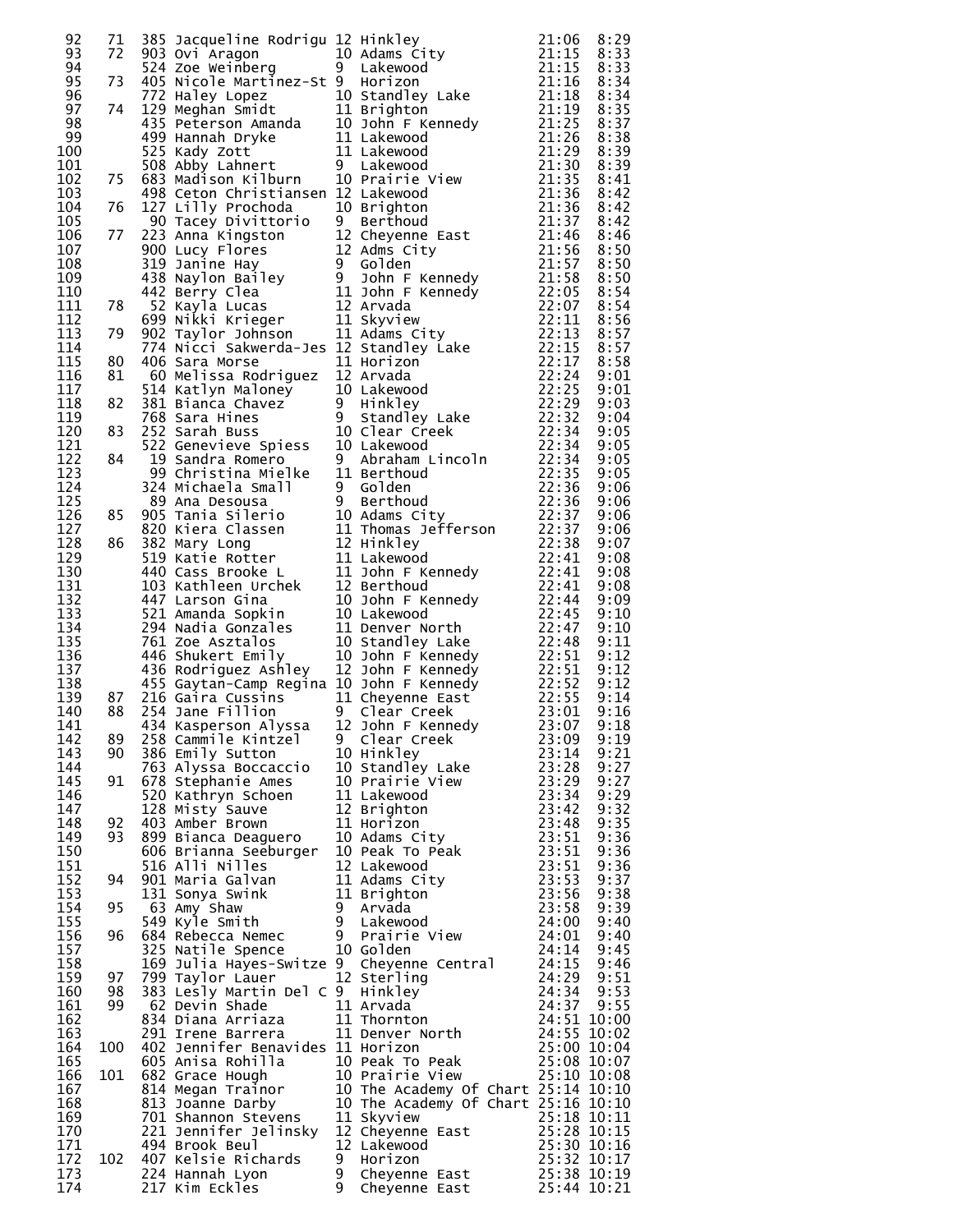|            |     |                     | 92 71 365 Acquelline Rodrigu 12 Hinkley<br>10 Adams City<br>10 Adams City<br>10 Adams City<br>10 Adams City<br>110 Adams City<br>110 Si333<br>73 4075 Microphe Martinez-5t 9 Lakewood<br>1111 8:334<br>73 4075 Microphe Martinez-5t 9 Lakewood<br> |       |              |
|------------|-----|---------------------|----------------------------------------------------------------------------------------------------------------------------------------------------------------------------------------------------------------------------------------------------|-------|--------------|
|            |     |                     |                                                                                                                                                                                                                                                    |       |              |
|            |     |                     |                                                                                                                                                                                                                                                    |       |              |
|            |     |                     |                                                                                                                                                                                                                                                    |       |              |
|            |     |                     |                                                                                                                                                                                                                                                    |       |              |
|            |     |                     |                                                                                                                                                                                                                                                    |       |              |
|            |     |                     |                                                                                                                                                                                                                                                    |       |              |
|            |     |                     |                                                                                                                                                                                                                                                    |       |              |
|            |     |                     |                                                                                                                                                                                                                                                    |       |              |
|            |     |                     |                                                                                                                                                                                                                                                    |       |              |
|            |     |                     |                                                                                                                                                                                                                                                    |       |              |
|            |     |                     |                                                                                                                                                                                                                                                    |       |              |
|            |     |                     |                                                                                                                                                                                                                                                    |       |              |
|            |     |                     |                                                                                                                                                                                                                                                    |       |              |
|            |     |                     |                                                                                                                                                                                                                                                    |       |              |
|            |     |                     |                                                                                                                                                                                                                                                    |       |              |
|            |     |                     |                                                                                                                                                                                                                                                    |       |              |
|            |     |                     |                                                                                                                                                                                                                                                    |       |              |
|            |     |                     |                                                                                                                                                                                                                                                    |       |              |
|            |     |                     |                                                                                                                                                                                                                                                    |       |              |
|            |     |                     |                                                                                                                                                                                                                                                    |       |              |
|            |     |                     |                                                                                                                                                                                                                                                    |       |              |
|            |     |                     |                                                                                                                                                                                                                                                    |       |              |
|            |     |                     |                                                                                                                                                                                                                                                    |       |              |
|            |     |                     |                                                                                                                                                                                                                                                    |       |              |
|            |     |                     |                                                                                                                                                                                                                                                    |       |              |
|            |     |                     |                                                                                                                                                                                                                                                    |       |              |
|            |     |                     |                                                                                                                                                                                                                                                    |       |              |
|            |     |                     |                                                                                                                                                                                                                                                    |       |              |
|            |     |                     |                                                                                                                                                                                                                                                    |       |              |
|            |     |                     |                                                                                                                                                                                                                                                    |       |              |
|            |     |                     |                                                                                                                                                                                                                                                    |       |              |
|            |     |                     |                                                                                                                                                                                                                                                    |       |              |
|            |     |                     |                                                                                                                                                                                                                                                    |       |              |
|            |     |                     |                                                                                                                                                                                                                                                    |       |              |
|            |     |                     |                                                                                                                                                                                                                                                    |       |              |
|            |     |                     |                                                                                                                                                                                                                                                    |       |              |
|            |     |                     |                                                                                                                                                                                                                                                    |       |              |
|            |     |                     |                                                                                                                                                                                                                                                    |       |              |
|            |     |                     |                                                                                                                                                                                                                                                    |       |              |
|            |     |                     |                                                                                                                                                                                                                                                    |       |              |
|            |     |                     |                                                                                                                                                                                                                                                    |       |              |
|            |     |                     |                                                                                                                                                                                                                                                    |       |              |
|            |     |                     |                                                                                                                                                                                                                                                    |       |              |
|            |     |                     |                                                                                                                                                                                                                                                    |       |              |
|            |     |                     |                                                                                                                                                                                                                                                    |       |              |
|            |     |                     |                                                                                                                                                                                                                                                    |       |              |
| 142        | 89  | 258 Cammile Kintzel | 9 Clear Creek                                                                                                                                                                                                                                      | 23:09 | 9:19         |
| 143        | 90  |                     | 258 Cammile Kintzel 9 Clear Creek 23:09<br>386 Emily Sutton 10 Hinkley 23:14<br>678 Stephanie Ames 10 Prairie View 23:28<br>678 Stephanie Ames 10 Prairie View 23:29<br>520 Kathryn Schoen 11 Lakewood 23:34<br>128 Misty Sauve 12 Brigh           |       | 9:21         |
| 144        |     |                     |                                                                                                                                                                                                                                                    |       | 9:27         |
| 145        | 91  |                     |                                                                                                                                                                                                                                                    |       | 9:27         |
| 146        |     |                     |                                                                                                                                                                                                                                                    |       | 9:29         |
| 147        |     |                     |                                                                                                                                                                                                                                                    |       | 9:32         |
| 148        | 92  |                     |                                                                                                                                                                                                                                                    |       | 9:35         |
| 149        | 93  |                     |                                                                                                                                                                                                                                                    |       | 9:36         |
| 150        |     |                     |                                                                                                                                                                                                                                                    |       | 9:36         |
| 151        |     |                     |                                                                                                                                                                                                                                                    |       | 9:36         |
| 152        | 94  |                     |                                                                                                                                                                                                                                                    |       | 9:37         |
| 153        |     |                     |                                                                                                                                                                                                                                                    |       | 9:38         |
| 154        | 95  |                     |                                                                                                                                                                                                                                                    |       | 9:39         |
| 155<br>156 | 96  |                     |                                                                                                                                                                                                                                                    |       | 9:40<br>9:40 |
| 157        |     |                     |                                                                                                                                                                                                                                                    |       | 9:45         |
| 158        |     |                     |                                                                                                                                                                                                                                                    |       |              |
| 159        | 97  |                     |                                                                                                                                                                                                                                                    |       |              |
| 160        | 98  |                     |                                                                                                                                                                                                                                                    |       |              |
| 161        | 99  |                     |                                                                                                                                                                                                                                                    |       |              |
| 162        |     |                     |                                                                                                                                                                                                                                                    |       |              |
| 163        |     |                     |                                                                                                                                                                                                                                                    |       |              |
| 164        | 100 |                     |                                                                                                                                                                                                                                                    |       |              |
| 165        |     |                     |                                                                                                                                                                                                                                                    |       |              |
| 166        | 101 |                     |                                                                                                                                                                                                                                                    |       |              |
| 167        |     |                     |                                                                                                                                                                                                                                                    |       |              |
| 168        |     |                     |                                                                                                                                                                                                                                                    |       |              |
| 169        |     |                     |                                                                                                                                                                                                                                                    |       |              |
| 170        |     |                     |                                                                                                                                                                                                                                                    |       |              |
| 171        |     |                     |                                                                                                                                                                                                                                                    |       |              |
| 172        | 102 |                     |                                                                                                                                                                                                                                                    |       |              |
| 173<br>174 |     |                     | 325 Natile Spence 10 Golden 24:14 9:45<br>169 Julia Hayes-Switze 9 Cheyenne Central 24:15 9:46<br>799 Taylor Laure 12 Sterling 24:29 9:51<br>82 Devin Shade 11 Arvada 24:34 9:53<br>62 Devin Shade 11 Arvada 24:37 9:55<br>834 Diana Arr           |       |              |
|            |     |                     |                                                                                                                                                                                                                                                    |       |              |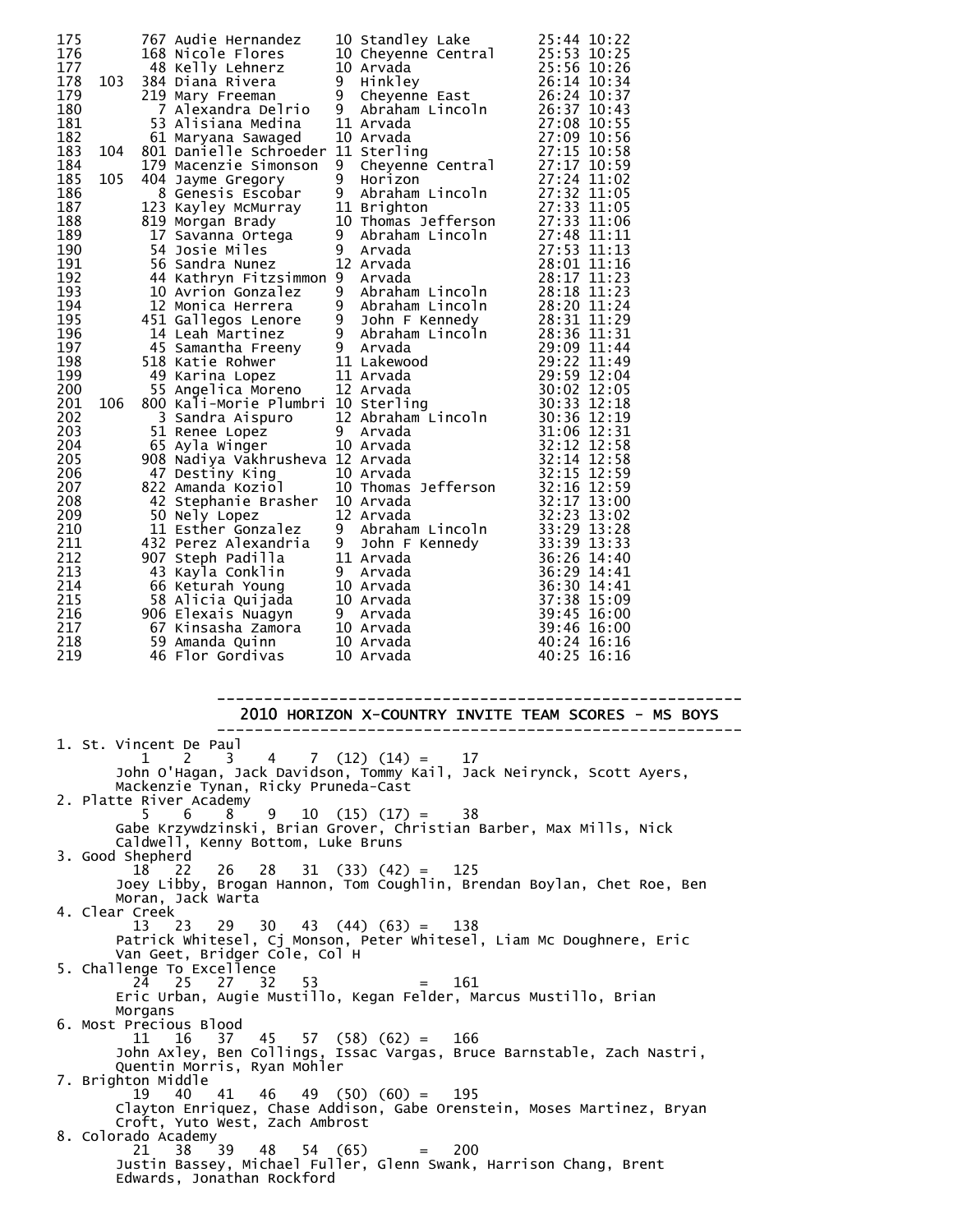| 175        |     | 767 Audie Hernandez                                                                                                                                                                                                                       |        | 10 Standley Lake                                                                                                                                                                                                                   | 25:44 10:22                |
|------------|-----|-------------------------------------------------------------------------------------------------------------------------------------------------------------------------------------------------------------------------------------------|--------|------------------------------------------------------------------------------------------------------------------------------------------------------------------------------------------------------------------------------------|----------------------------|
| 176        |     | 168 Nicole Flores                                                                                                                                                                                                                         |        | 10 Cheyenne Central<br>10 Arvada<br>9 Hinkley<br>9 Cheyenne East                                                                                                                                                                   | 25:53 10:25                |
| 177        |     | 48 Kelly Lehnerz                                                                                                                                                                                                                          |        |                                                                                                                                                                                                                                    | 25:56 10:26                |
| 178        | 103 | 384 Diana Rivera                                                                                                                                                                                                                          |        |                                                                                                                                                                                                                                    | 26:14 10:34                |
| 179        |     | 219 Mary Freeman                                                                                                                                                                                                                          |        |                                                                                                                                                                                                                                    | 26:24 10:37                |
| 180        |     | 7 Alexandra Delrio                                                                                                                                                                                                                        | 9      | Abraham Lincoln                                                                                                                                                                                                                    | 26:37 10:43                |
| 181        |     | 53 Alisiana Medina                                                                                                                                                                                                                        |        | 11 Arvada                                                                                                                                                                                                                          | 27:08 10:55                |
| 182        |     | 61 Maryana Sawaged                                                                                                                                                                                                                        |        | 10 Arvada                                                                                                                                                                                                                          | 27:09 10:56                |
| 183        | 104 | 801 Danielle Schroeder 11 Sterling                                                                                                                                                                                                        |        |                                                                                                                                                                                                                                    | 27:15 10:58                |
| 184        |     | 179 Macenzie Simonson                                                                                                                                                                                                                     | 9      | Arvada<br>Sterling<br>Cheyenne Central                                                                                                                                                                                             | 27:17 10:59                |
| 185        | 105 | 404 Jayme Gregory                                                                                                                                                                                                                         | 9      | Horizon                                                                                                                                                                                                                            | 27:24 11:02                |
| 186        |     | 8 Genesis Escobar                                                                                                                                                                                                                         | 9      | Abraham Lincoln                                                                                                                                                                                                                    | 27:32 11:05                |
| 187        |     | 123 Kayley McMurray                                                                                                                                                                                                                       |        | 11 Brighton                                                                                                                                                                                                                        | 27:33 11:05                |
| 188<br>189 |     | 819 Morgan Brady                                                                                                                                                                                                                          |        | 10 Thomas Jefferson                                                                                                                                                                                                                | 27:33 11:06<br>27:48 11:11 |
| 190        |     | 17 Savānna Ortēga<br>54 Josie Miles                                                                                                                                                                                                       | 9<br>9 | Abraham Lincoln<br>Arvada                                                                                                                                                                                                          | 27:53 11:13                |
| 191        |     | 56 Sandra Nunez                                                                                                                                                                                                                           |        | 12 Arvada                                                                                                                                                                                                                          | 28:01 11:16                |
| 192        |     | 44 Kathryn Fitzsimmon 9                                                                                                                                                                                                                   |        | Arvada                                                                                                                                                                                                                             | 28:17 11:23                |
| 193        |     | 10 Avrion Gonzalez                                                                                                                                                                                                                        | 9      |                                                                                                                                                                                                                                    | 28:18 11:23                |
| 194        |     | 12 Monica Herrera                                                                                                                                                                                                                         | 9      | Abraham Lincoln<br>Abraham Lincoln                                                                                                                                                                                                 | 28:20 11:24                |
| 195        |     |                                                                                                                                                                                                                                           | 9      | John F Kennedy                                                                                                                                                                                                                     | 28:31 11:29                |
| 196        |     | 451 Gallegos Lenore<br>14 Leah Martinez<br>14 Leah Martinez                                                                                                                                                                               |        | 9 John F Kennedy<br>9 Abraham Lincoln<br>9 Arvada                                                                                                                                                                                  | 28:36 11:31                |
| 197        |     |                                                                                                                                                                                                                                           |        |                                                                                                                                                                                                                                    | 29:09 11:44                |
| 198        |     | 45 Samantha Freeny<br>518 Katie Rohwer 11 Lakewood<br>649 Karina Lopez 11 Arvada<br>55 Angelica Moreno 12 Arvada<br>800 Kali-Morie Plumbri 10 Sterling                                                                                    |        | 45 Samantha Freeny<br>518 Katie Rohwer        11 Lakewood<br>49 Karina Lopez      11 Arvada<br>55 Angelica Moreno    12 Arvada<br>300 Kali-Morie Plumbri 10 Sterling<br>3 Sandra Aispuro      12 Abraham Lincoln<br>51 Renee Lopez | 29:22 11:49                |
| 199        |     |                                                                                                                                                                                                                                           |        |                                                                                                                                                                                                                                    | 29:59 12:04                |
| 200        |     |                                                                                                                                                                                                                                           |        |                                                                                                                                                                                                                                    | 30:02 12:05                |
| 201        | 106 |                                                                                                                                                                                                                                           |        |                                                                                                                                                                                                                                    | 30:33 12:18                |
| 202        |     |                                                                                                                                                                                                                                           |        |                                                                                                                                                                                                                                    | 30:36 12:19                |
| 203        |     |                                                                                                                                                                                                                                           |        |                                                                                                                                                                                                                                    | 31:06 12:31                |
| 204        |     |                                                                                                                                                                                                                                           |        |                                                                                                                                                                                                                                    | 32:12 12:58                |
| 205        |     | 908 Nadiya Vakhrusheva 12 Arvada                                                                                                                                                                                                          |        |                                                                                                                                                                                                                                    | 32:14 12:58                |
| 206        |     |                                                                                                                                                                                                                                           |        |                                                                                                                                                                                                                                    | 32:15 12:59                |
| 207        |     | 822 Amanda Koziol                                                                                                                                                                                                                         |        |                                                                                                                                                                                                                                    | 32:16 12:59                |
| 208        |     | 42 Stephanie Brasher 10 Arvada                                                                                                                                                                                                            |        |                                                                                                                                                                                                                                    | 32:17 13:00                |
| 209        |     | 50 Nely Lopez                                                                                                                                                                                                                             |        | 12 Arvada                                                                                                                                                                                                                          | 32:23 13:02                |
| 210        |     | 50 Nely Lopez<br>11 Esther Gonzalez<br>432 Perez Alexandria<br>907 Steph Padilla                                                                                                                                                          |        | 9 Abraham Lincoln                                                                                                                                                                                                                  | 33:29 13:28                |
| 211        |     |                                                                                                                                                                                                                                           | 9      | John F Kennedy<br>Arvada<br>Arvada                                                                                                                                                                                                 | 33:39 13:33                |
| 212        |     |                                                                                                                                                                                                                                           |        | 11 Arvada                                                                                                                                                                                                                          | 36:26 14:40                |
| 213        |     | 43 Kayla Conklin                                                                                                                                                                                                                          |        | 9 Arvada                                                                                                                                                                                                                           | 36:29 14:41                |
| 214<br>215 |     |                                                                                                                                                                                                                                           |        |                                                                                                                                                                                                                                    | 36:30 14:41                |
| 216        |     |                                                                                                                                                                                                                                           |        |                                                                                                                                                                                                                                    | 37:38 15:09<br>39:45 16:00 |
| 217        |     |                                                                                                                                                                                                                                           |        |                                                                                                                                                                                                                                    | 39:46 16:00                |
| 218        |     |                                                                                                                                                                                                                                           |        |                                                                                                                                                                                                                                    | 40:24 16:16                |
| 219        |     | 10 Arvada<br>58 Alicia Quijada<br>58 Alicia Quijada<br>58 Alicia Quijada<br>50 Elexais Nuagyn<br>59 Amanda Quinn<br>59 Amanda Quinn<br>59 Amanda Quinn<br>59 Amanda Quinn<br>59 Amanda Quinn<br>50 Arvada<br>59 Amanda Quinn<br>50 Arvada |        |                                                                                                                                                                                                                                    | 40:25 16:16                |
|            |     |                                                                                                                                                                                                                                           |        |                                                                                                                                                                                                                                    |                            |

-------------------------------------------------------- 2010 HORIZON X-COUNTRY INVITE TEAM SCORES - MS BOYS -------------------------------------------------------- 1. St. Vincent De Paul

| 1. St. Vincent De Paul                                                                                |
|-------------------------------------------------------------------------------------------------------|
|                                                                                                       |
| John O'Hagan, Jack Davidson, Tommy Kail, Jack Neirynck, Scott Ayers,                                  |
| Mackenzie Tynan, Ricky Pruneda-Cast                                                                   |
| 2. Platte River Academy                                                                               |
| $5 \t6 \t8 \t9 \t10 \t(15) \t(17) = 38$                                                               |
| Gabe Krzywdzinski, Brian Grover, Christian Barber, Max Mills, Nick                                    |
| Caldwell, Kenny Bottom, Luke Bruns                                                                    |
| 3. Good Shepherd                                                                                      |
| $18$ 22 26 28 31 (33) (42) = 125                                                                      |
| Joey Libby, Brogan Hannon, Tom Coughlin, Brendan Boylan, Chet Roe, Ben                                |
| Moran, Jack Warta                                                                                     |
| 4. Clear Creek                                                                                        |
| $13$ 23 29 30 43 (44) (63) = 138                                                                      |
| Patrick Whitesel, Cj Monson, Peter Whitesel, Liam Mc Doughnere, Eric                                  |
| Van Geet, Bridger Cole, Col H                                                                         |
| 5. Challenge To Excellence                                                                            |
| 24 25 27 32 53<br>$= 161$                                                                             |
| Eric Urban, Augie Mustillo, Kegan Felder, Marcus Mustillo, Brian                                      |
| Morgans                                                                                               |
| 6. Most Precious Blood                                                                                |
| $11 \quad 16 \quad 37 \quad 45 \quad 57 \quad (58) \quad (62) = 166$                                  |
| John Axley, Ben Collings, Issac Vargas, Bruce Barnstable, Zach Nastri,<br>Quentin Morris, Ryan Mohler |
|                                                                                                       |
| 7. Brighton Middle<br>40  41  46  49  (50) $(60) = 195$<br>19                                         |
| Clayton Enriquez, Chase Addison, Gabe Orenstein, Moses Martinez, Bryan                                |
| Croft, Yuto West, Zach Ambrost                                                                        |
| 8. Colorado Academy                                                                                   |
| $38 \t39 \t48 \t54 \t(65) = 200$<br>21.                                                               |
| Justin Bassey, Michael Fuller, Glenn Swank, Harrison Chang, Brent                                     |
| Edwards, Jonathan Rockford                                                                            |
|                                                                                                       |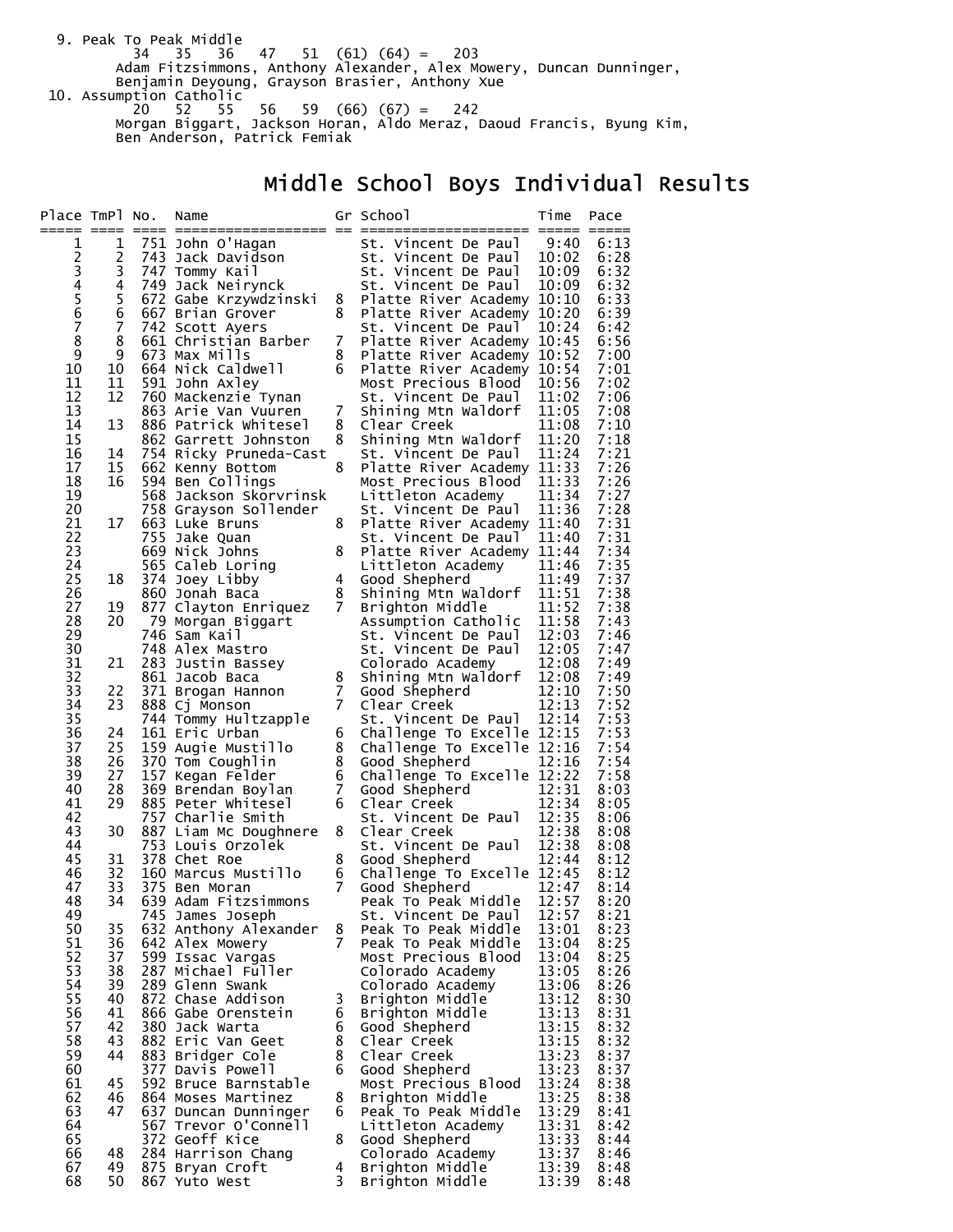9. Peak To Peak Middle<br>34 35 36 34 35 36 47 51 (61) (64) = 203 Adam Fitzsimmons, Anthony Alexander, Alex Mowery, Duncan Dunninger, Benjamin Deyoung, Grayson Brasier, Anthony Xue 10. Assumption Catholic 20 52 55 56 59 (66) (67) = 242 Morgan Biggart, Jackson Horan, Aldo Meraz, Daoud Francis, Byung Kim, Ben Anderson, Patrick Femiak

# Middle School Boys Individual Results

| Place TmPl No. |          | Name                                       |        | Gr School                                         | Time           | Pace         |
|----------------|----------|--------------------------------------------|--------|---------------------------------------------------|----------------|--------------|
| ===== ====     |          |                                            |        |                                                   |                |              |
| 1              | 1        | 751 John O'Hagan                           |        | St. Vincent De Paul                               | 9:40           | 6:13         |
|                | 2<br>3   | 743 Jack Davidson                          |        | St. Vincent De Paul                               | 10:02          | 6:28         |
|                | 4        | 747 Tommy Kail<br>749 Jack Neirynck        |        | St. Vincent De Paul<br>St. Vincent De Paul        | 10:09<br>10:09 | 6:32<br>6:32 |
| 23456          | 5        | 672 Gabe Krzywdzinski                      | 8      | Platte River Academy 10:10                        |                | 6:33         |
|                | 6        | 667 Brian Grover                           | 8      | Platte River Academy 10:20                        |                | 6:39         |
| $\overline{7}$ | 7        | 742 Scott Ayers                            |        | St. Vincent De Paul                               | 10:24          | 6:42         |
| 8              | 8        | 661 Christian Barber                       | 7      | Platte River Academy 10:45                        |                | 6:56         |
| 9              | 9        | 673 Max Mills                              | 8      | Platte River Academy 10:52                        |                | 7:00         |
| 10             | 10       | 664 Nick Caldwell                          | 6      | Platte River Academy 10:54                        |                | 7:01         |
| 11             | 11       | 591 John Axley                             |        | Most Precious Blood                               | 10:56          | 7:02         |
| 12             | 12       | 760 Mackenzie Tynan                        |        | St. Vincent De Paul                               | 11:02          | 7:06         |
| 13             |          | 863 Arie Van Vuuren                        | 7      | Shining Mtn Waldorf                               | 11:05          | 7:08         |
| 14             | 13       | 886 Patrick Whitesel                       | 8      | Clear Creek                                       | 11:08          | 7:10         |
| 15<br>16       |          | 862 Garrett Johnston                       | 8      | Shining Mtn Waldorf                               | 11:20<br>11:24 | 7:18<br>7:21 |
| 17             | 14<br>15 | 754 Ricky Pruneda-Cast<br>662 Kenny Bottom | 8      | St. Vincent De Paul<br>Platte River Academy 11:33 |                | 7:26         |
| 18             | 16       | 594 Ben Collings                           |        | Most Precious Blood                               | 11:33          | 7:26         |
| 19             |          | 568 Jackson Skorvrinsk                     |        | Littleton Academy                                 | 11:34          | 7:27         |
| 20             |          | 758 Grayson Sollender                      |        | St. Vincent De Paul                               | 11:36          | 7:28         |
| 21             | 17       | 663 Luke Bruns                             | 8      | Platte River Academy 11:40                        |                | 7:31         |
| 22             |          | 755 Jake Quan                              |        | St. Vincent De Paul                               | 11:40          | 7:31         |
| 23             |          | 669 Nick Johns                             | 8      | Platte River Academy 11:44                        |                | 7:34         |
| 24             |          | 565 Caleb Loring                           |        | Littleton Academy                                 | 11:46          | 7:35         |
| 25             | 18       | 374 Joey Libby                             | 4      | Good Shepherd                                     | 11:49          | 7:37         |
| 26             |          | 860 Jonah Baca                             | 8<br>7 | Shining Mtn Waldorf                               | 11:51          | 7:38         |
| 27<br>28       | 19<br>20 | 877 Clayton Enriquez<br>79 Morgan Biggart  |        | Brighton Middle<br>Assumption Catholic            | 11:52<br>11:58 | 7:38<br>7:43 |
| 29             |          | 746 Sam Kail                               |        | St. Vincent De Paul                               | 12:03          | 7:46         |
| 30             |          | 748 Alex Mastro                            |        | St. Vincent De Paul                               | 12:05          | 7:47         |
| 31             | 21       | 283 Justin Bassey                          |        | Colorado Academy                                  | 12:08          | 7:49         |
| 32             |          | 861 Jacob Baca                             | 8      | Shining Mtn Waldorf                               | 12:08          | 7:49         |
| 33             | 22       | 371 Brogan Hannon                          | 7      | Good Shepherd                                     | 12:10          | 7:50         |
| 34             | 23       | 888 Cj Monson                              | 7      | Clear Creek                                       | 12:13          | 7:52         |
| 35             |          | 744 Tommy Hultzapple                       |        | St. Vincent De Paul                               | 12:14          | 7:53         |
| 36             | 24       | 161 Eric Urban                             | 6      | Challenge To Excelle 12:15                        |                | 7:53         |
| 37             | 25       | 159 Augie Mustillo                         | 8<br>8 | Challenge To Excelle 12:16                        |                | 7:54<br>7:54 |
| 38<br>39       | 26<br>27 | 370 Tom Coughlin<br>157 Kegan Felder       | 6      | Good Shepherd<br>Challenge To Excelle 12:22       | 12:16          | 7:58         |
| 40             | 28       | 369 Brendan Boylan                         | 7      | Good Shepherd                                     | 12:31          | 8:03         |
| 41             | 29       | 885 Peter Whitesel                         | 6      | Clear Creek                                       | 12:34          | 8:05         |
| 42             |          | 757 Charlie Smith                          |        | St. Vincent De Paul                               | 12:35          | 8:06         |
| 43             | 30       | 887 Liam Mc Doughnere                      | 8      | Clear Creek                                       | 12:38          | 8:08         |
| 44             |          | 753 Louis Orzolek                          |        | St. Vincent De Paul                               | 12:38          | 8:08         |
| 45             | 31       | 378 Chet Roe                               | 8      | Good Shepherd                                     | 12:44          | 8:12         |
| 46             | 32       | 160 Marcus Mustillo                        | 6      | Challenge To Excelle 12:45                        |                | 8:12         |
| 47<br>48       | 33       | 375 Ben Moran<br>639 Adam Fitzsimmons      | 7      | Good Shepherd<br>Peak To Peak Middle              | 12:47<br>12:57 | 8:14<br>8:20 |
| 49             | 34       | 745 James Joseph                           |        | St. Vincent De Paul                               | 12:57          | 8:21         |
| 50             | 35       | 632 Anthony Alexander                      | 8      | Peak To Peak Middle                               | 13:01          | 8:23         |
| 51             | 36       | 642 Alex Mowery                            | 7      | Peak To Peak Middle                               | 13:04          | 8:25         |
| 52             | 37       | 599 Issac Vargas                           |        | Most Precious Blood                               | 13:04          | 8:25         |
| 53             | 38       | 287 Michael Fuller                         |        | Colorado Academy                                  | 13:05          | 8:26         |
| 54             | 39       | 289 Glenn Swank                            |        | Colorado Academy                                  | 13:06          | 8:26         |
| 55             | 40       | 872 Chase Addison                          | 3      | Brighton Middle                                   | 13:12          | 8:30         |
| 56             | 41       | 866 Gabe Orenstein                         | 6      | Brighton Middle                                   | 13:13          | 8:31         |
| 57             | 42       | 380 Jack Warta                             | 6      | Good Shepherd                                     | 13:15          | 8:32         |
| 58<br>59       | 43<br>44 | 882 Eric Van Geet                          | 8<br>8 | Clear Creek<br>Clear Creek                        | 13:15<br>13:23 | 8:32<br>8:37 |
| 60             |          | 883 Bridger Cole<br>377 Davis Powell       | 6      | Good Shepherd                                     | 13:23          | 8:37         |
| 61             | 45       | 592 Bruce Barnstable                       |        | Most Precious Blood                               | 13:24          | 8:38         |
| 62             | 46       | 864 Moses Martinez                         | 8      | Brighton Middle                                   | 13:25          | 8:38         |
| 63             | 47       | 637 Duncan Dunninger                       | 6      | Peak To Peak Middle                               | 13:29          | 8:41         |
| 64             |          | 567 Trevor O'Connell                       |        | Littleton Academy                                 | 13:31          | 8:42         |
| 65             |          | 372 Geoff Kice                             | 8      | Good Shepherd                                     | 13:33          | 8:44         |
| 66             | 48       | 284 Harrison Chang                         |        | Colorado Academy                                  | 13:37          | 8:46         |
| 67             | 49       | 875 Bryan Croft                            | 4      | Brighton Middle                                   | 13:39          | 8:48         |
| 68             | 50       | 867 Yuto West                              | 3      | Brighton Middle                                   | 13:39          | 8:48         |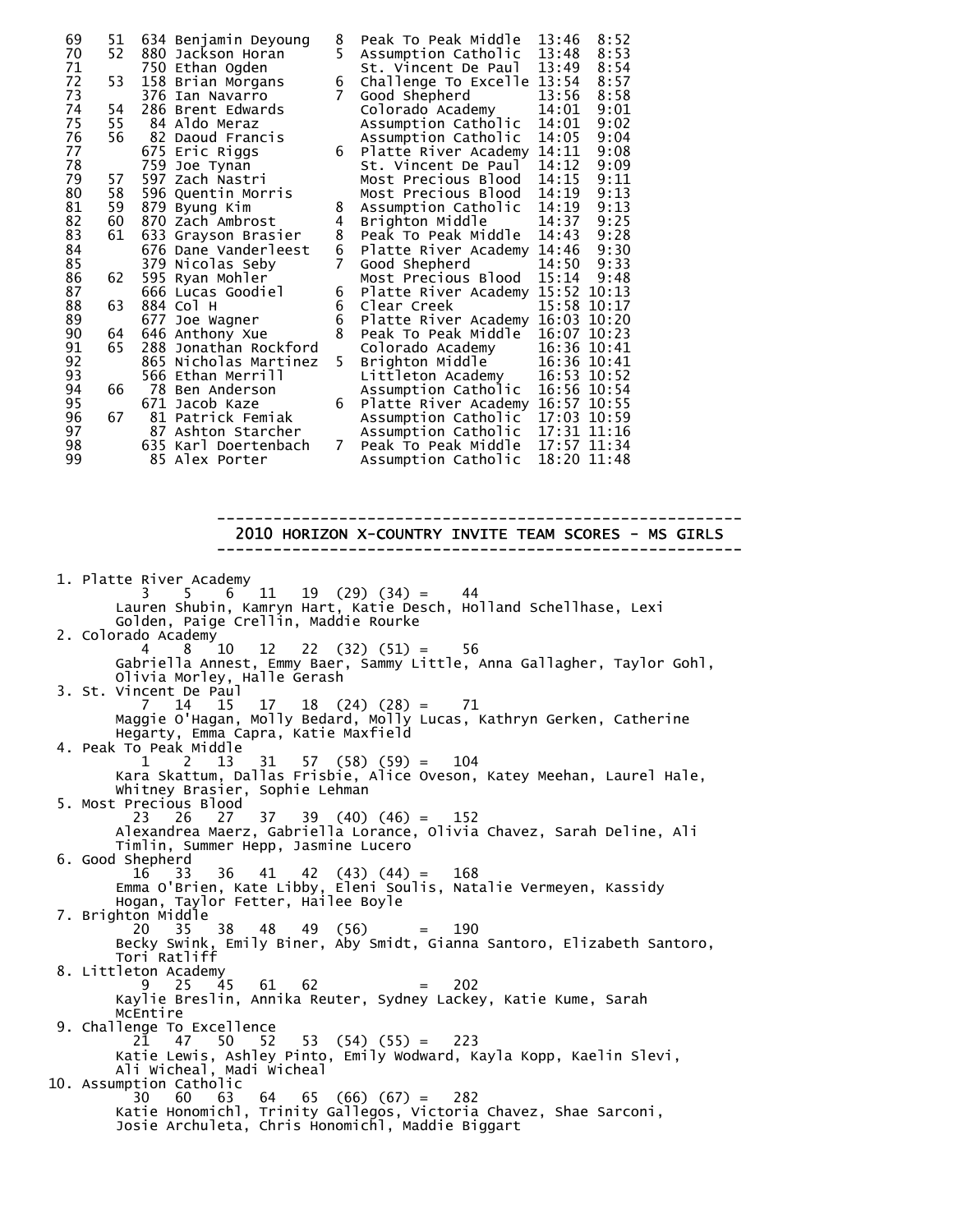| 69 | 51 |     | 634 Benjamin Deyoung  | 8  | Peak To Peak Middle              | 13:46       | 8:52  |
|----|----|-----|-----------------------|----|----------------------------------|-------------|-------|
| 70 | 52 |     | 880 Jackson Horan     | 5  | Assumption Catholic              | 13:48       | 8:53  |
| 71 |    |     | 750 Ethan Ogden       |    | St. Vincent De Paul              | 13:49       | 8:54  |
| 72 | 53 |     | 158 Brian Morgans     | 6  | Challenge To Excelle 13:54       |             | 8:57  |
| 73 |    |     | 376 Ian Navarro       | 7  | Good Shepherd                    | 13:56       | 8:58  |
| 74 | 54 |     | 286 Brent Edwards     |    | Colorado Academy                 | 14:01       | 9:01  |
| 75 | 55 |     | 84 Aldo Meraz         |    | Assumption Catholic              | 14:01       | 9:02  |
| 76 | 56 |     | 82 Daoud Francis      |    | Assumption Catholic              | 14:05       | 9:04  |
| 77 |    |     | 675 Eric Riggs        | 6  | Platte River Academy 14:11       |             | 9:08  |
| 78 |    |     | 759 Joe Tynan         |    | St. Vincent De Paul              | 14:12       | 9:09  |
| 79 | 57 |     | 597 Zach Nastri       |    | Most Precious Blood              | 14:15       | 9:11  |
| 80 | 58 |     | 596 Quentin Morris    |    | Most Precious Blood              | 14:19       | 9:13  |
| 81 | 59 |     | 879 Byung Kim         | 8  | Assumption Catholic              | 14:19       | 9:13  |
| 82 | 60 |     | 870 Zach Ambrost      | 4  | Brighton Middle                  | 14:37       | 9:25  |
| 83 | 61 |     | 633 Grayson Brasier   | 8  | Peak To Peak Middle              | 14:43       | 9:28  |
| 84 |    |     | 676 Dane Vanderleest  | 6  | Platte River Academy 14:46       |             | 9:30  |
| 85 |    |     | 379 Nicolas Seby      | 7  | Good Shepherd                    | 14:50       | 9:33  |
| 86 | 62 |     | 595 Ryan Mohler       |    | Most Precious Blood              | 15:14       | 9:48  |
| 87 |    |     | 666 Lucas Goodiel     | 6  | Platte River Academy 15:52 10:13 |             |       |
| 88 | 63 |     | 884 Col H             | 6  | Clear Creek                      | 15:58 10:17 |       |
| 89 |    |     | 677 Joe Wagner        | 6  | Platte River Academy 16:03 10:20 |             |       |
| 90 | 64 |     | 646 Anthony Xue       | 8  | Peak To Peak Middle              | 16:07 10:23 |       |
| 91 | 65 | 288 | Jonathan Rockford     |    | Colorado Academy                 | 16:36 10:41 |       |
| 92 |    |     | 865 Nicholas Martinez | 5. | Brighton Middle                  | 16:36 10:41 |       |
| 93 |    |     | 566 Ethan Merrill     |    | Littleton Academy                | 16:53 10:52 |       |
| 94 | 66 |     | 78 Ben Anderson       |    | Assumption Catholic              | 16:56 10:54 |       |
| 95 |    |     | 671 Jacob Kaze        | 6  | Platte River Academy 16:57 10:55 |             |       |
| 96 | 67 | 81  | Patrick Femiak        |    | Assumption Catholic              | 17:03       | 10:59 |
| 97 |    |     | 87 Ashton Starcher    |    | Assumption Catholic              | 17:31 11:16 |       |
| 98 |    |     | 635 Karl Doertenbach  | 7  | Peak To Peak Middle              | 17:57 11:34 |       |
| 99 |    |     | 85 Alex Porter        |    | Assumption Catholic              | 18:20 11:48 |       |

#### -------------------------------------------------------- 2010 HORIZON X-COUNTRY INVITE TEAM SCORES - MS GIRLS --------------------------------------------------------

 1. Platte River Academy 3 5 6 11 19 (29) (34) = 44 Lauren Shubin, Kamryn Hart, Katie Desch, Holland Schellhase, Lexi Golden, Paige Crellin, Maddie Rourke 2. Colorado Academy 4 8 10 12 22 (32) (51) = 56 Gabriella Annest, Emmy Baer, Sammy Little, Anna Gallagher, Taylor Gohl, Olivia Morley, Halle Gerash 3. St. Vincent De Paul 7 14 15 17 18 (24) (28) = 71 Maggie O'Hagan, Molly Bedard, Molly Lucas, Kathryn Gerken, Catherine Hegarty, Emma Capra, Katie Maxfield 4. Peak To Peak Middle<br>12 13 1 2 13 31 57 (58) (59) = 104 Kara Skattum, Dallas Frisbie, Alice Oveson, Katey Meehan, Laurel Hale, Whitney Brasier, Sophie Lehman 5. Most Precious Blood  $39 \quad (40) \quad (46) = 152$  Alexandrea Maerz, Gabriella Lorance, Olivia Chavez, Sarah Deline, Ali Timlin, Summer Hepp, Jasmine Lucero 6. Good Shepherd 16 33 36 41 42 (43) (44) = 168 Emma O'Brien, Kate Libby, Eleni Soulis, Natalie Vermeyen, Kassidy Hogan, Taylor Fetter, Hailee Boyle 7. Brighton Middle 20 35 38 48 49 (56) = 190 Becky Swink, Emily Biner, Aby Smidt, Gianna Santoro, Elizabeth Santoro, Tori Ratliff 8. Littleton Academy<br>9 25 45 9 25 45 61 62 = 202 Kaylie Breslin, Annika Reuter, Sydney Lackey, Katie Kume, Sarah McEntire 9. Challenge To Excellence 21 47 50 52 53 (54) (55) = 223 Katie Lewis, Ashley Pinto, Emily Wodward, Kayla Kopp, Kaelin Slevi, Ali Wicheal, Madi Wicheal 10. Assumption Catholic 30 60 63 64 65 (66) (67) = 282 Katie Honomichl, Trinity Gallegos, Victoria Chavez, Shae Sarconi, Josie Archuleta, Chris Honomichl, Maddie Biggart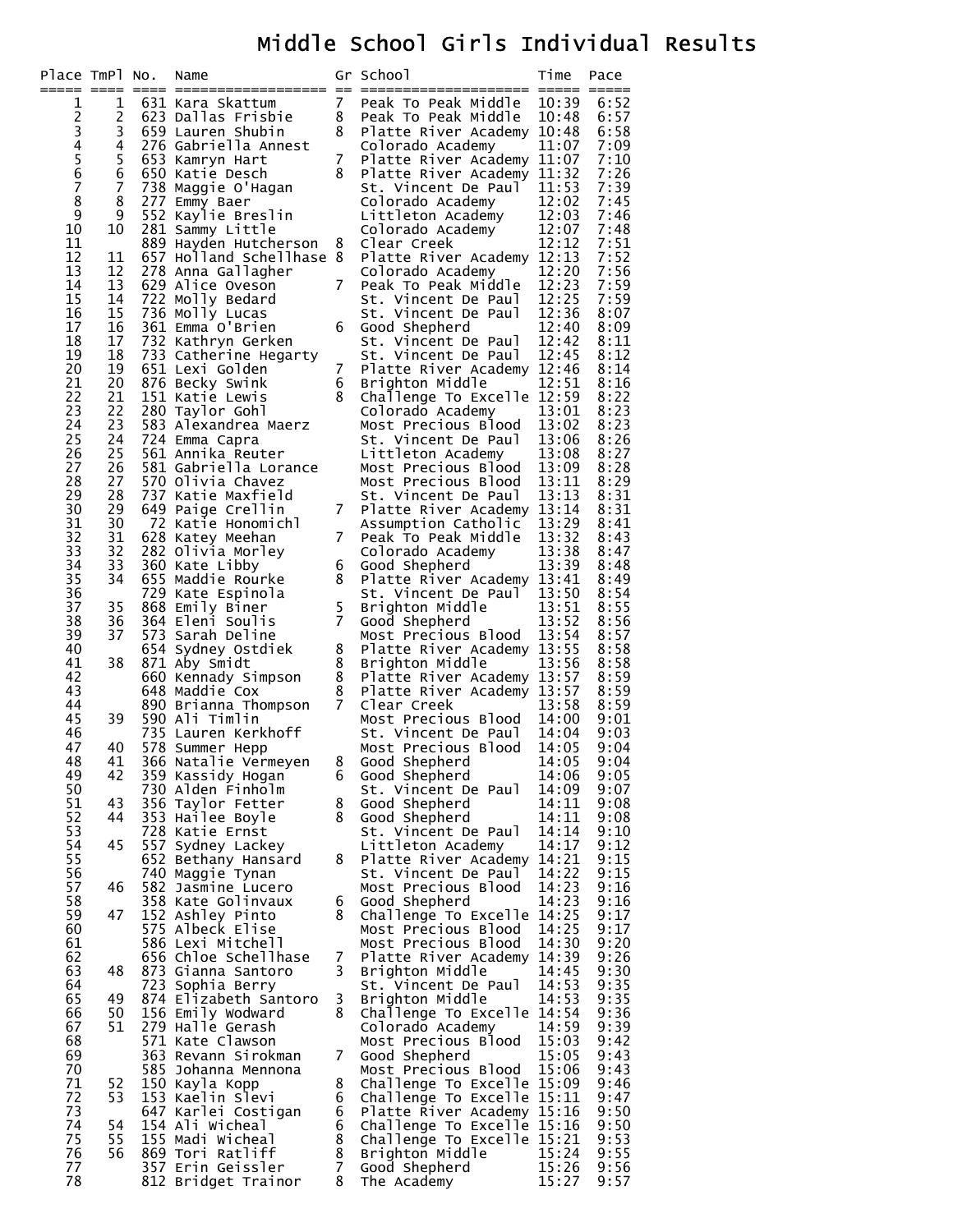# Middle School Girls Individual Results

| Place TmPl No. |          | Name                                           |                | Gr School                                                | Time           | Pace         |
|----------------|----------|------------------------------------------------|----------------|----------------------------------------------------------|----------------|--------------|
| 1              | 1        | 631 Kara Skattum                               | $\overline{7}$ | Peak To Peak Middle                                      | 10:39          | 6:52         |
| $\overline{c}$ | 2        | 623 Dallas Frisbie                             | 8              | Peak To Peak Middle                                      | 10:48          | 6:57         |
|                | 3<br>4   | 659 Lauren Shubin<br>276 Gabriella Annest      | 8              | Platte River Academy 10:48<br>Colorado Academy           | 11:07          | 6:58<br>7:09 |
| 34567          | 5        | 653 Kamryn Hart                                | 7              | Platte River Academy 11:07                               |                | 7:10         |
|                | 6        | 650 Katie Desch                                | 8              | Platte River Academy 11:32                               |                | 7:26         |
| 8              | 7<br>8   | 738 Maggie O'Hagan                             |                | St. Vincent De Paul<br>Colorado Academy                  | 11:53          | 7:39<br>7:45 |
| 9              | 9        | 277 Emmy Baer<br>552 Kaylie Breslin            |                | Littleton Academy                                        | 12:02<br>12:03 | 7:46         |
| 10             | 10       | 281 Sammy Little                               |                | Colorado Academy                                         | 12:07          | 7:48         |
| 11             |          | 889 Hayden Hutcherson                          | 8              | Clear Creek                                              | 12:12          | 7:51         |
| 12<br>13       | 11<br>12 | 657 Holland Schellhase 8<br>278 Anna Gallagher |                | Platte River Academy 12:13<br>Colorado Academy           | 12:20          | 7:52<br>7:56 |
| 14             | 13       | 629 Alice Oveson                               | $\overline{7}$ | Peak To Peak Middle                                      | 12:23          | 7:59         |
| 15             | 14       | 722 Molly Bedard                               |                | St. Vincent De Paul                                      | 12:25          | 7:59         |
| 16<br>17       | 15<br>16 | 736 Molly Lucas<br>361 Emma O'Brien            | 6              | St. Vincent De Paul<br>Good Shepherd                     | 12:36<br>12:40 | 8:07<br>8:09 |
| 18             | 17       | 732 Kathryn Gerken                             |                | St. Vincent De Paul                                      | 12:42          | 8:11         |
| 19             | 18       | 733 Catherine Hegarty                          |                | St. Vincent De Paul                                      | 12:45          | 8:12         |
| 20<br>21       | 19<br>20 | 651 Lexi Golden<br>876 Becky Swink             | 7<br>6         | Platte River Academy 12:46<br>Brighton Middle            | 12:51          | 8:14<br>8:16 |
| 22             | 21       | 151 Katie Lewis                                | 8              | Challenge To Excelle 12:59                               |                | 8:22         |
| 23             | 22       | 280 Taylor Gohl                                |                | Colorado Academy                                         | 13:01          | 8:23         |
| 24             | 23       | 583 Alexandrea Maerz                           |                | Most Precious Blood                                      | 13:02          | 8:23         |
| 25<br>26       | 24<br>25 | 724 Emma Capra<br>561 Annika Reuter            |                | St. Vincent De Paul<br>Littleton Academy                 | 13:06<br>13:08 | 8:26<br>8:27 |
| 27             | 26       | 581 Gabriella Lorance                          |                | Most Precious Blood                                      | 13:09          | 8:28         |
| 28             | 27       | 570 Olivia Chavez                              |                | Most Precious Blood                                      | 13:11          | 8:29         |
| 29<br>30       | 28<br>29 | 737 Katie Maxfield<br>649 Paige Crellin        | $\overline{7}$ | St. Vincent De Paul<br>Platte River Academy 13:14        | 13:13          | 8:31<br>8:31 |
| 31             | 30       | 72 Katie Honomichl                             |                | Assumption Catholic                                      | 13:29          | 8:41         |
| 32             | 31       | 628 Katey Meehan                               | 7              | Peak To Peak Middle                                      | 13:32          | 8:43         |
| 33<br>34       | 32<br>33 | 282 Olivia Morley<br>360 Kate Libby            | 6              | Colorado Academy                                         | 13:38<br>13:39 | 8:47<br>8:48 |
| 35             | 34       | 655 Maddie Rourke                              | 8              | Good Shepherd<br>Platte River Academy 13:41              |                | 8:49         |
| 36             |          | 729 Kate Espinola                              |                | St. Vincent De Paul 13:50                                |                | 8:54         |
| 37<br>38       | 35<br>36 | 868 Emily Biner<br>364 Eleni Soulis            | 5<br>7         | Brighton Middle                                          | 13:51<br>13:52 | 8:55<br>8:56 |
| 39             | 37       | 573 Sarah Deline                               |                | Good Shepherd<br>Most Precious Blood                     | 13:54          | 8:57         |
| 40             |          | 654 Sydney Ostdiek                             | 8              | Platte River Academy 13:55                               |                | 8:58         |
| 41             | 38       | 871 Aby Smidt                                  | 8              | Brighton Middle                                          | 13:56          | 8:58         |
| 42<br>43       |          | 660 Kennady Simpson<br>648 Maddie Cox          | 8<br>8         | Platte River Academy 13:57<br>Platte River Academy 13:57 |                | 8:59<br>8:59 |
| 44             |          | 890 Brianna Thompson                           | $\overline{7}$ | Clear Creek                                              | 13:58          | 8:59         |
| 45             | 39       | 590 Ali Timlin                                 |                | Most Precious Blood                                      | 14:00          | 9:01         |
| 46<br>47       | 40       | 735 Lauren Kerkhoff<br>578 Summer Hepp         |                | St. Vincent De Paul<br>Most Precious Blood               | 14:04<br>14:05 | 9:03<br>9:04 |
| 48             | 41       | 366 Natalie Vermeyen                           |                | 8 Good Shepherd                                          | 14:05          | 9:04         |
| 49             | 42       | 359 Kassidy Hogan                              | 6              | Good Shepherd                                            | 14:06          | 9:05         |
| 50<br>51       | 43       | 730 Alden Finholm<br>356 Taylor Fetter         | 8              | St. Vincent De Paul<br>Good Shepherd                     | 14:09<br>14:11 | 9:07<br>9:08 |
| 52             | 44       | 353 Hailee Boyle                               | 8              | Good Shepherd                                            | 14:11          | 9:08         |
| 53             |          | 728 Katie Ernst                                |                | St. Vincent De Paul                                      | 14:14          | 9:10         |
| 54<br>55       | 45       | 557 Sydney Lackey<br>652 Bethany Hansard       | 8              | Littleton Academy<br>Platte River Academy                | 14:17<br>14:21 | 9:12<br>9:15 |
| 56             |          | 740 Maggie Tynan                               |                | St. Vincent De Paul                                      | 14:22          | 9:15         |
| 57             | 46       | 582 Jasmine Lucero                             |                | Most Precious Blood                                      | 14:23          | 9:16         |
| 58<br>59       | 47       | 358 Kate Golinvaux<br>152 Ashley Pinto         | 6<br>8         | Good Shepherd<br>Challenge To Excelle 14:25              | 14:23          | 9:16<br>9:17 |
| 60             |          | 575 Albeck Elise                               |                | Most Precious Blood                                      | 14:25          | 9:17         |
| 61             |          | 586 Lexi Mitchell                              |                | Most Precious Blood                                      | 14:30          | 9:20         |
| 62<br>63       | 48       | 656 Chloe Schellhase<br>873 Gianna Santoro     | 7<br>3         | Platte River Academy 14:39<br>Brighton Middle            | 14:45          | 9:26<br>9:30 |
| 64             |          | 723 Sophia Berry                               |                | St. Vincent De Paul                                      | 14:53          | 9:35         |
| 65             | 49       | 874 Elizabeth Santoro                          | 3              | Brighton Middle                                          | 14:53          | 9:35         |
| 66             | 50       | 156 Emily Wodward                              | 8              | Challenge To Excelle 14:54                               |                | 9:36         |
| 67<br>68       | 51       | 279 Halle Gerash<br>571 Kate Clawson           |                | Colorado Academy<br>Most Precious Blood                  | 14:59<br>15:03 | 9:39<br>9:42 |
| 69             |          | 363 Revann Sirokman                            | 7              | Good Shepherd                                            | 15:05          | 9:43         |
| 70             |          | 585 Johanna Mennona                            |                | Most Precious Blood                                      | 15:06          | 9:43         |
| 71<br>72       | 52<br>53 | 150 Kayla Kopp<br>153 Kaelin Slevi             | 8<br>6         | Challenge To Excelle 15:09<br>Challenge To Excelle 15:11 |                | 9:46<br>9:47 |
| 73             |          | 647 Karlei Costigan                            | 6              | Platte River Academy 15:16                               |                | 9:50         |
| 74             | 54       | 154 Ali wicheal                                | 6              | Challenge To Excelle 15:16                               |                | 9:50         |
| 75<br>76       | 55<br>56 | 155 Madi Wicheal<br>869 Tori Ratliff           | 8<br>8         | Challenge To Excelle 15:21<br>Brighton Middle            | 15:24          | 9:53<br>9:55 |
| 77             |          | 357 Erin Geissler                              | 7              | Good Shepherd                                            | 15:26          | 9:56         |
| 78             |          | 812 Bridget Trainor                            | 8              | The Academy                                              | 15:27          | 9:57         |